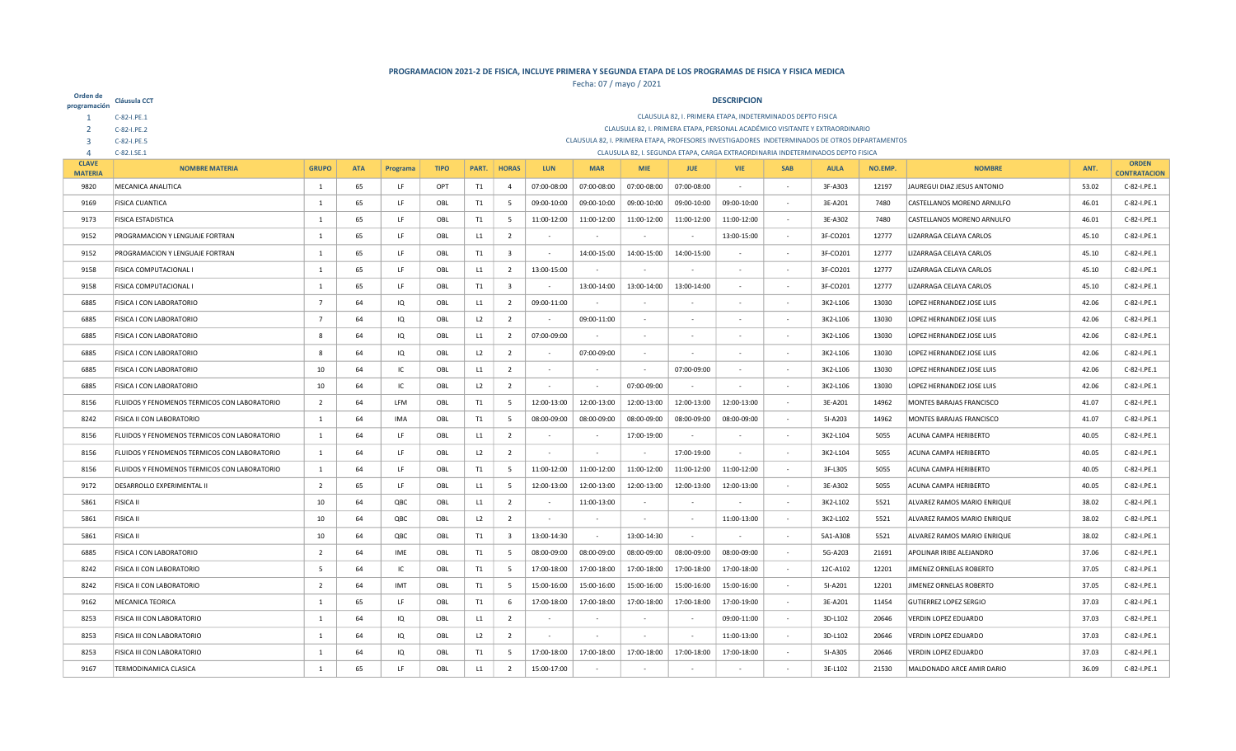| Orden de<br>programación       | <b>Cláusula CCT</b>                                                                                                                                                                             |                |            |          |             |       |                         |             |             |             |                          | <b>DESCRIPCION</b>                                                                             |            |             |         |                               |       |                                     |
|--------------------------------|-------------------------------------------------------------------------------------------------------------------------------------------------------------------------------------------------|----------------|------------|----------|-------------|-------|-------------------------|-------------|-------------|-------------|--------------------------|------------------------------------------------------------------------------------------------|------------|-------------|---------|-------------------------------|-------|-------------------------------------|
|                                | C-82-I.PE.1                                                                                                                                                                                     |                |            |          |             |       |                         |             |             |             |                          | CLAUSULA 82, I. PRIMERA ETAPA, INDETERMINADOS DEPTO FISICA                                     |            |             |         |                               |       |                                     |
|                                | C-82-I.PE.2                                                                                                                                                                                     |                |            |          |             |       |                         |             |             |             |                          | CLAUSULA 82, I. PRIMERA ETAPA, PERSONAL ACADÉMICO VISITANTE Y EXTRAORDINARIO                   |            |             |         |                               |       |                                     |
| 3                              | C-82-I.PE.5                                                                                                                                                                                     |                |            |          |             |       |                         |             |             |             |                          | CLAUSULA 82, I. PRIMERA ETAPA, PROFESORES INVESTIGADORES INDETERMINADOS DE OTROS DEPARTAMENTOS |            |             |         |                               |       |                                     |
| $\Delta$                       | C-82.I.SE.1                                                                                                                                                                                     |                |            |          |             |       |                         |             |             |             |                          | CLAUSULA 82, I. SEGUNDA ETAPA, CARGA EXTRAORDINARIA INDETERMINADOS DEPTO FISICA                |            |             |         |                               |       |                                     |
| <b>CLAVE</b><br><b>MATERIA</b> | <b>NOMBRE MATERIA</b>                                                                                                                                                                           | <b>GRUPO</b>   | <b>ATA</b> | Programa | <b>TIPO</b> | PART. | <b>HORAS</b>            | <b>LUN</b>  | <b>MAR</b>  | <b>MIF</b>  | <b>JUE</b>               | <b>VIE</b>                                                                                     | <b>SAB</b> | <b>AULA</b> | NO.EMP. | <b>NOMBRE</b>                 | ANT.  | <b>ORDEN</b><br><b>CONTRATACION</b> |
| 9820                           | MECANICA ANALITICA                                                                                                                                                                              | 1              | 65         | LF       | OPT         | T1    | $\overline{4}$          | 07:00-08:00 | 07:00-08:00 | 07:00-08:00 | 07:00-08:00              |                                                                                                |            | 3F-A303     | 12197   | JAUREGUI DIAZ JESUS ANTONIO   | 53.02 | C-82-I.PE.1                         |
| 9169                           | <b>FISICA CUANTICA</b>                                                                                                                                                                          | $\overline{1}$ | 65         | LF       | OBL         | T1    | - 5                     | 09:00-10:00 | 09:00-10:00 | 09:00-10:00 | 09:00-10:00              | 09:00-10:00                                                                                    |            | 3E-A201     | 7480    | CASTELLANOS MORENO ARNULFO    | 46.01 | C-82-I.PE.1                         |
| 9173                           | <b>FISICA ESTADISTICA</b>                                                                                                                                                                       | $\overline{1}$ | 65         | LF       | OBL         | T1    | 5                       | 11:00-12:00 | 11:00-12:00 | 11:00-12:00 | 11:00-12:00              | 11:00-12:00                                                                                    | $\sim$     | 3E-A302     | 7480    | CASTELLANOS MORENO ARNULFO    | 46.01 | C-82-I.PE.1                         |
| 9152                           | PROGRAMACION Y LENGUAJE FORTRAN                                                                                                                                                                 | 1              | 65         | LF       | OBL         | L1    | $\overline{2}$          |             |             |             |                          | 13:00-15:00                                                                                    |            | 3F-CO201    | 12777   | LIZARRAGA CELAYA CARLOS       | 45.10 | C-82-I.PE.1                         |
| 9152                           | PROGRAMACION Y LENGUAJE FORTRAN                                                                                                                                                                 | 1              | 65         | LF       | OBL         | T1    | $\overline{\mathbf{3}}$ |             | 14:00-15:00 | 14:00-15:00 | 14:00-15:00              |                                                                                                |            | 3F-CO201    | 12777   | LIZARRAGA CELAYA CARLOS       | 45.10 | C-82-I.PE.1                         |
| 9158                           | FISICA COMPUTACIONAL I                                                                                                                                                                          | -1             | 65         | LF       | OBL         | L1    | $\overline{2}$          | 13:00-15:00 |             |             |                          |                                                                                                |            | 3F-CO201    | 12777   | LIZARRAGA CELAYA CARLOS       | 45.10 | C-82-I.PE.1                         |
| 9158                           | <b>FISICA COMPUTACIONAL I</b>                                                                                                                                                                   | $\mathbf{1}$   | 65         | LF       | OBL         | T1    | $\overline{\mathbf{3}}$ |             | 13:00-14:00 | 13:00-14:00 | 13:00-14:00              |                                                                                                |            | 3F-CO201    | 12777   | LIZARRAGA CELAYA CARLOS       | 45.10 | C-82-I.PE.1                         |
| 6885                           | FISICA I CON LABORATORIO                                                                                                                                                                        | $\overline{7}$ | 64         | IQ       | OBL         | L1    | $\overline{2}$          | 09:00-11:00 |             |             |                          |                                                                                                |            | 3K2-L106    | 13030   | LOPEZ HERNANDEZ JOSE LUIS     | 42.06 | C-82-I.PE.1                         |
| 6885                           | <b>FISICA I CON LABORATORIO</b><br>$\overline{7}$<br>64<br>L2<br>$\overline{2}$<br>09:00-11:00<br>13030<br>LOPEZ HERNANDEZ JOSE LUIS<br>42.06<br>C-82-I.PE.1<br>IQ<br>OBL<br>3K2-L106<br>$\sim$ |                |            |          |             |       |                         |             |             |             |                          |                                                                                                |            |             |         |                               |       |                                     |
| 6885                           | FISICA I CON LABORATORIO<br>64<br>$\overline{2}$<br>07:00-09:00<br>13030<br>LOPEZ HERNANDEZ JOSE LUIS<br>42.06<br>8<br>IQ<br>OBL<br>L1<br>3K2-L106                                              |                |            |          |             |       |                         |             |             |             |                          |                                                                                                |            |             |         | C-82-I.PE.1                   |       |                                     |
| 6885                           | FISICA I CON LABORATORIO                                                                                                                                                                        | 8              | 64         | IQ       | OBL         | L2    | $\overline{2}$          |             | 07:00-09:00 |             |                          |                                                                                                |            | 3K2-L106    | 13030   | LOPEZ HERNANDEZ JOSE LUIS     | 42.06 | C-82-I.PE.1                         |
| 6885                           | FISICA I CON LABORATORIO                                                                                                                                                                        | 10             | 64         | IC       | OBL         | L1    | $\overline{2}$          |             |             |             | 07:00-09:00              |                                                                                                |            | 3K2-L106    | 13030   | LOPEZ HERNANDEZ JOSE LUIS     | 42.06 | C-82-I.PE.1                         |
| 6885                           | FISICA I CON LABORATORIO                                                                                                                                                                        | 10             | 64         | IC       | OBL         | L2    | $\overline{2}$          |             |             | 07:00-09:00 |                          |                                                                                                |            | 3K2-L106    | 13030   | LOPEZ HERNANDEZ JOSE LUIS     | 42.06 | C-82-I.PE.1                         |
| 8156                           | FLUIDOS Y FENOMENOS TERMICOS CON LABORATORIO                                                                                                                                                    | $\overline{2}$ | 64         | LFM      | OBL         | T1    | 5                       | 12:00-13:00 | 12:00-13:00 | 12:00-13:00 | 12:00-13:00              | 12:00-13:00                                                                                    |            | 3E-A201     | 14962   | MONTES BARAJAS FRANCISCO      | 41.07 | C-82-I.PE.1                         |
| 8242                           | FISICA II CON LABORATORIO                                                                                                                                                                       | 1              | 64         | IMA      | OBL         | T1    | 5                       | 08:00-09:00 | 08:00-09:00 | 08:00-09:00 | 08:00-09:00              | 08:00-09:00                                                                                    |            | 5I-A203     | 14962   | MONTES BARAJAS FRANCISCO      | 41.07 | C-82-I.PE.1                         |
| 8156                           | FLUIDOS Y FENOMENOS TERMICOS CON LABORATORIO                                                                                                                                                    | -1             | 64         | LF       | OBL         | L1    | $\overline{2}$          |             |             | 17:00-19:00 | $\overline{\phantom{a}}$ |                                                                                                |            | 3K2-L104    | 5055    | <b>ACUNA CAMPA HERIBERTO</b>  | 40.05 | C-82-I.PE.1                         |
| 8156                           | FLUIDOS Y FENOMENOS TERMICOS CON LABORATORIO                                                                                                                                                    | -1             | 64         | LF       | OBL         | L2    | $\overline{2}$          | $\sim$      | $\sim$      |             | 17:00-19:00              |                                                                                                |            | 3K2-L104    | 5055    | <b>ACUNA CAMPA HERIBERTO</b>  | 40.05 | C-82-I.PE.1                         |
| 8156                           | FLUIDOS Y FENOMENOS TERMICOS CON LABORATORIO                                                                                                                                                    | 1              | 64         | LF       | OBL         | T1    | 5                       | 11:00-12:00 | 11:00-12:00 | 11:00-12:00 | 11:00-12:00              | 11:00-12:00                                                                                    |            | 3F-L305     | 5055    | <b>ACUNA CAMPA HERIBERTO</b>  | 40.05 | C-82-I.PE.1                         |
| 9172                           | <b>DESARROLLO EXPERIMENTAL II</b>                                                                                                                                                               | $\overline{2}$ | 65         | LF       | OBL         | L1    | 5                       | 12:00-13:00 | 12:00-13:00 | 12:00-13:00 | 12:00-13:00              | 12:00-13:00                                                                                    |            | 3E-A302     | 5055    | <b>ACUNA CAMPA HERIBERTO</b>  | 40.05 | C-82-I.PE.1                         |
| 5861                           | <b>FISICA II</b>                                                                                                                                                                                | 10             | 64         | QBC      | OBL         | L1    | $\overline{2}$          |             | 11:00-13:00 |             |                          |                                                                                                |            | 3K2-L102    | 5521    | ALVAREZ RAMOS MARIO ENRIQUE   | 38.02 | C-82-I.PE.1                         |
| 5861                           | <b>FISICA II</b>                                                                                                                                                                                | 10             | 64         | QBC      | OBL         | L2    | $\overline{2}$          |             |             |             | $\sim$                   | 11:00-13:00                                                                                    |            | 3K2-L102    | 5521    | ALVAREZ RAMOS MARIO ENRIQUE   | 38.02 | C-82-I.PE.1                         |
| 5861                           | <b>FISICA II</b>                                                                                                                                                                                | 10             | 64         | QBC      | OBL         | T1    | $\overline{\mathbf{3}}$ | 13:00-14:30 | $\sim$      | 13:00-14:30 | $\sim$                   |                                                                                                |            | 5A1-A308    | 5521    | ALVAREZ RAMOS MARIO ENRIQUE   | 38.02 | C-82-I.PE.1                         |
| 6885                           | FISICA I CON LABORATORIO                                                                                                                                                                        | $\overline{2}$ | 64         | IME      | OBL         | T1    | 5                       | 08:00-09:00 | 08:00-09:00 | 08:00-09:00 | 08:00-09:00              | 08:00-09:00                                                                                    |            | 5G-A203     | 21691   | APOLINAR IRIBE ALEJANDRO      | 37.06 | C-82-I.PE.1                         |
| 8242                           | FISICA II CON LABORATORIO                                                                                                                                                                       | -5             | 64         | IC       | OBL         | T1    | 5                       | 17:00-18:00 | 17:00-18:00 | 17:00-18:00 | 17:00-18:00              | 17:00-18:00                                                                                    |            | 12C-A102    | 12201   | JIMENEZ ORNELAS ROBERTO       | 37.05 | C-82-I.PE.1                         |
| 8242                           | FISICA II CON LABORATORIO                                                                                                                                                                       | $\overline{2}$ | 64         | IMT      | OBL         | T1    | 5                       | 15:00-16:00 | 15:00-16:00 | 15:00-16:00 | 15:00-16:00              | 15:00-16:00                                                                                    | $\sim$     | 51-A201     | 12201   | JIMENEZ ORNELAS ROBERTO       | 37.05 | C-82-I.PE.1                         |
| 9162                           | <b>MECANICA TEORICA</b>                                                                                                                                                                         | 1              | 65         | LF       | OBL         | T1    | 6                       | 17:00-18:00 | 17:00-18:00 | 17:00-18:00 | 17:00-18:00              | 17:00-19:00                                                                                    |            | 3E-A201     | 11454   | <b>GUTIERREZ LOPEZ SERGIO</b> | 37.03 | C-82-I.PE.1                         |
| 8253                           | FISICA III CON LABORATORIO                                                                                                                                                                      | 1              | 64         | IQ       | OBL         | L1    | $\overline{2}$          |             |             |             |                          | 09:00-11:00                                                                                    |            | 3D-L102     | 20646   | VERDIN LOPEZ EDUARDO          | 37.03 | C-82-I.PE.1                         |
| 8253                           | FISICA III CON LABORATORIO                                                                                                                                                                      | $\overline{1}$ | 64         | IQ       | OBL         | L2    | $\overline{2}$          |             |             |             |                          | 11:00-13:00                                                                                    |            | 3D-L102     | 20646   | VERDIN LOPEZ EDUARDO          | 37.03 | C-82-I.PE.1                         |
| 8253                           | FISICA III CON LABORATORIO                                                                                                                                                                      | $\overline{1}$ | 64         | IQ       | OBL         | T1    | - 5                     | 17:00-18:00 | 17:00-18:00 | 17:00-18:00 | 17:00-18:00              | 17:00-18:00                                                                                    |            | 5I-A305     | 20646   | VERDIN LOPEZ EDUARDO          | 37.03 | C-82-I.PE.1                         |
| 9167                           | <b>TERMODINAMICA CLASICA</b>                                                                                                                                                                    | $\overline{1}$ | 65         | LF       | OBL         | L1    | $\overline{2}$          | 15:00-17:00 |             |             |                          |                                                                                                |            | 3E-L102     | 21530   | MALDONADO ARCE AMIR DARIO     | 36.09 | C-82-I.PE.1                         |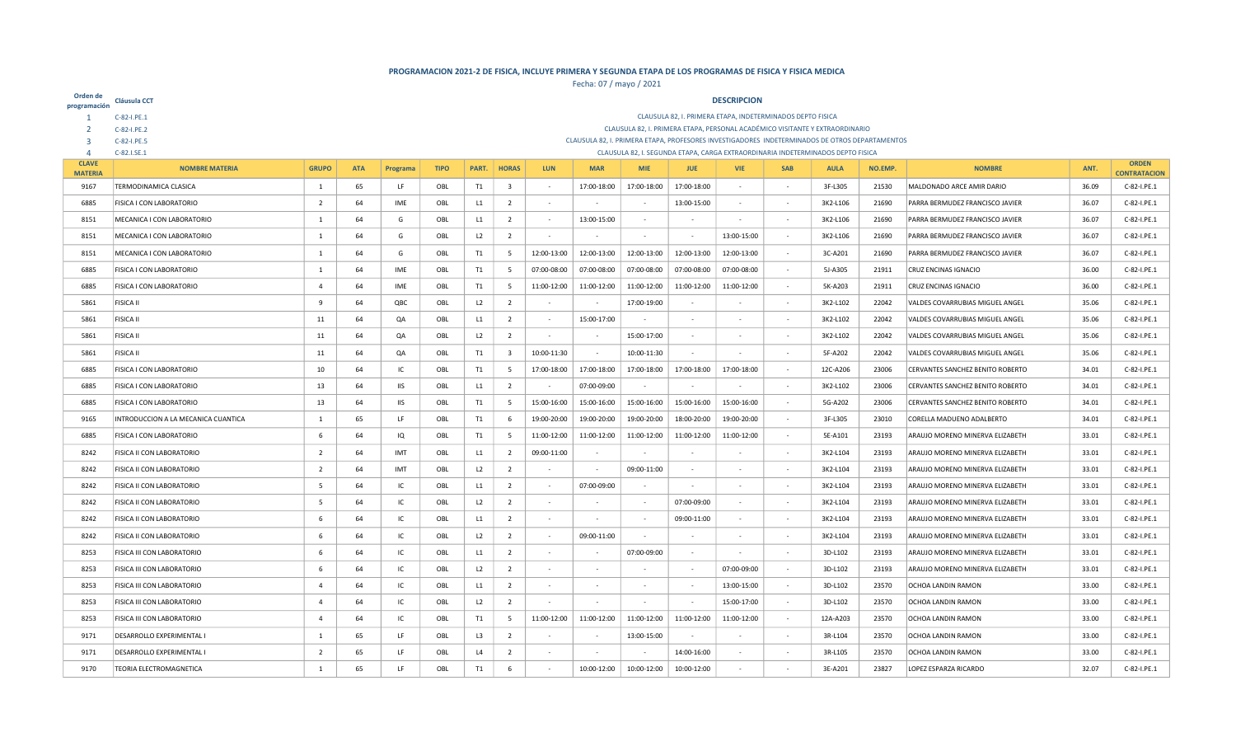| Orden de<br>programación | Cláusula CCT                        |                                                                                                                                                                                    |            |            |             |       |                         |             |                          |                          |             | <b>DESCRIPCION</b>                                         |                          |                                                                                                |         |                                  |             |                     |
|--------------------------|-------------------------------------|------------------------------------------------------------------------------------------------------------------------------------------------------------------------------------|------------|------------|-------------|-------|-------------------------|-------------|--------------------------|--------------------------|-------------|------------------------------------------------------------|--------------------------|------------------------------------------------------------------------------------------------|---------|----------------------------------|-------------|---------------------|
|                          | C-82-I.PE.1                         |                                                                                                                                                                                    |            |            |             |       |                         |             |                          |                          |             | CLAUSULA 82, I. PRIMERA ETAPA, INDETERMINADOS DEPTO FISICA |                          |                                                                                                |         |                                  |             |                     |
|                          | C-82-I.PE.2                         |                                                                                                                                                                                    |            |            |             |       |                         |             |                          |                          |             |                                                            |                          | CLAUSULA 82, I. PRIMERA ETAPA, PERSONAL ACADÉMICO VISITANTE Y EXTRAORDINARIO                   |         |                                  |             |                     |
| В                        | C-82-I.PE.5                         |                                                                                                                                                                                    |            |            |             |       |                         |             |                          |                          |             |                                                            |                          | CLAUSULA 82, I. PRIMERA ETAPA, PROFESORES INVESTIGADORES INDETERMINADOS DE OTROS DEPARTAMENTOS |         |                                  |             |                     |
| $\Delta$<br><b>CLAVE</b> | C-82.I.SE.1                         |                                                                                                                                                                                    |            |            |             |       |                         |             |                          |                          |             |                                                            |                          | CLAUSULA 82, I. SEGUNDA ETAPA, CARGA EXTRAORDINARIA INDETERMINADOS DEPTO FISICA                |         |                                  |             | <b>ORDEN</b>        |
| <b>MATERIA</b>           | <b>NOMBRE MATERIA</b>               | <b>GRUPO</b>                                                                                                                                                                       | <b>ATA</b> | Programa   | <b>TIPO</b> | PART. | <b>HORAS</b>            | <b>LUN</b>  | <b>MAR</b>               | <b>MIF</b>               | <b>JUE</b>  | <b>VIE</b>                                                 | <b>SAB</b>               | <b>AULA</b>                                                                                    | NO.EMP. | <b>NOMBRE</b>                    | ANT.        | <b>CONTRATACION</b> |
| 9167                     | <b>TERMODINAMICA CLASICA</b>        | 1                                                                                                                                                                                  | 65         | LF         | OBL         | T1    | $\overline{\mathbf{3}}$ | $\sim$      | 17:00-18:00              | 17:00-18:00              | 17:00-18:00 |                                                            | $\sim$                   | 3F-L305                                                                                        | 21530   | MALDONADO ARCE AMIR DARIO        | 36.09       | C-82-I.PE.1         |
| 6885                     | FISICA I CON LABORATORIO            | $\overline{2}$                                                                                                                                                                     | 64         | IME        | OBL         | L1    | $\overline{2}$          | $\sim$      |                          |                          | 13:00-15:00 |                                                            | $\overline{\phantom{a}}$ | 3K2-L106                                                                                       | 21690   | PARRA BERMUDEZ FRANCISCO JAVIER  | 36.07       | C-82-I.PE.1         |
| 8151                     | MECANICA I CON LABORATORIO          | 1                                                                                                                                                                                  | 64         | G          | OBL         | L1    | $\overline{2}$          | $\sim$      | 13:00-15:00              | $\overline{\phantom{a}}$ | $\sim$      | $\sim$                                                     | $\sim$                   | 3K2-L106                                                                                       | 21690   | PARRA BERMUDEZ FRANCISCO JAVIER  | 36.07       | C-82-I.PE.1         |
| 8151                     | MECANICA I CON LABORATORIO          | 1                                                                                                                                                                                  | 64         | G          | OBL         | L2    | $\overline{2}$          | $\sim$      |                          |                          |             | 13:00-15:00                                                | $\overline{\phantom{a}}$ | 3K2-L106                                                                                       | 21690   | PARRA BERMUDEZ FRANCISCO JAVIER  | 36.07       | C-82-I.PE.1         |
| 8151                     | MECANICA I CON LABORATORIO          | 1                                                                                                                                                                                  | 64         | G          | OBL         | T1    | 5                       | 12:00-13:00 | 12:00-13:00              | 12:00-13:00              | 12:00-13:00 | 12:00-13:00                                                | $\sim$                   | 3C-A201                                                                                        | 21690   | PARRA BERMUDEZ FRANCISCO JAVIER  | 36.07       | C-82-I.PE.1         |
| 6885                     | FISICA I CON LABORATORIO            | $\mathbf{1}$                                                                                                                                                                       | 64         | IME        | OBL         | T1    | 5                       | 07:00-08:00 | 07:00-08:00              | 07:00-08:00              | 07:00-08:00 | 07:00-08:00                                                | $\overline{\phantom{a}}$ | 5J-A305                                                                                        | 21911   | <b>CRUZ ENCINAS IGNACIO</b>      | 36.00       | C-82-I.PE.1         |
| 6885                     | FISICA I CON LABORATORIO            | $\overline{a}$                                                                                                                                                                     | 64         | IME        | OBL         | T1    | $5\overline{5}$         | 11:00-12:00 | 11:00-12:00              | 11:00-12:00              | 11:00-12:00 | 11:00-12:00                                                | $\sim$                   | 5K-A203                                                                                        | 21911   | CRUZ ENCINAS IGNACIO             | 36.00       | C-82-I.PE.1         |
| 5861                     | <b>FISICA II</b>                    | 9<br>64<br>QBC<br>L2<br>$\overline{2}$<br>17:00-19:00<br>22042<br>VALDES COVARRUBIAS MIGUEL ANGEL<br>35.06<br>C-82-I.PE.1<br>OBL<br>$\overline{\phantom{a}}$<br>3K2-L102           |            |            |             |       |                         |             |                          |                          |             |                                                            |                          |                                                                                                |         |                                  |             |                     |
| 5861                     | <b>FISICA II</b>                    | 11<br>64<br>QA<br>OBL<br>L1<br>$\overline{2}$<br>15:00-17:00<br>3K2-L102<br>22042<br>VALDES COVARRUBIAS MIGUEL ANGEL<br>35.06<br>C-82-I.PE.1<br>$\sim$<br>$\sim$                   |            |            |             |       |                         |             |                          |                          |             |                                                            |                          |                                                                                                |         |                                  |             |                     |
| 5861                     | <b>FISICA II</b>                    | 64<br>QA<br>OBL<br>L2<br>$\overline{2}$<br>15:00-17:00<br>3K2-L102<br>22042<br>VALDES COVARRUBIAS MIGUEL ANGEL<br>35.06<br>11<br>$\sim$<br>$\sim$<br>$\sim$                        |            |            |             |       |                         |             |                          |                          |             |                                                            |                          |                                                                                                |         |                                  | C-82-I.PE.1 |                     |
| 5861                     | <b>FISICA II</b>                    | 64<br>QA<br>10:00-11:30<br>10:00-11:30<br>5F-A202<br>OBL<br>T1<br>$\overline{\mathbf{3}}$<br>22042<br>VALDES COVARRUBIAS MIGUEL ANGEL<br>35.06<br>11<br>$\sim$<br>$\sim$<br>$\sim$ |            |            |             |       |                         |             |                          |                          |             |                                                            |                          |                                                                                                |         |                                  | C-82-I.PE.1 |                     |
| 6885                     | FISICA I CON LABORATORIO            | 10                                                                                                                                                                                 | 64         | IC         | OBL         | T1    | 5                       | 17:00-18:00 | 17:00-18:00              | 17:00-18:00              | 17:00-18:00 | 17:00-18:00                                                |                          | 12C-A206                                                                                       | 23006   | CERVANTES SANCHEZ BENITO ROBERTO | 34.01       | C-82-I.PE.1         |
| 6885                     | FISICA I CON LABORATORIO            | 13                                                                                                                                                                                 | 64         | <b>IIS</b> | OBL         | L1    | $\overline{2}$          |             | 07:00-09:00              |                          |             |                                                            |                          | 3K2-L102                                                                                       | 23006   | CERVANTES SANCHEZ BENITO ROBERTO | 34.01       | C-82-I.PE.1         |
| 6885                     | FISICA I CON LABORATORIO            | 13                                                                                                                                                                                 | 64         | IIS        | OBL         | T1    | 5                       | 15:00-16:00 | 15:00-16:00              | 15:00-16:00              | 15:00-16:00 | 15:00-16:00                                                | ٠                        | 5G-A202                                                                                        | 23006   | CERVANTES SANCHEZ BENITO ROBERTO | 34.01       | C-82-I.PE.1         |
| 9165                     | INTRODUCCION A LA MECANICA CUANTICA | 1                                                                                                                                                                                  | 65         | LF         | OBL         | T1    | 6                       | 19:00-20:00 | 19:00-20:00              | 19:00-20:00              | 18:00-20:00 | 19:00-20:00                                                | $\sim$                   | 3F-L305                                                                                        | 23010   | CORELLA MADUENO ADALBERTO        | 34.01       | C-82-I.PE.1         |
| 6885                     | FISICA I CON LABORATORIO            | 6                                                                                                                                                                                  | 64         | IQ         | OBL         | T1    | - 5                     | 11:00-12:00 | 11:00-12:00              | 11:00-12:00              | 11:00-12:00 | 11:00-12:00                                                |                          | 5E-A101                                                                                        | 23193   | ARAUJO MORENO MINERVA ELIZABETH  | 33.01       | C-82-I.PE.1         |
| 8242                     | <b>FISICA II CON LABORATORIO</b>    | 2                                                                                                                                                                                  | 64         | IMT        | OBL         | L1    | $\overline{2}$          | 09:00-11:00 | $\overline{\phantom{a}}$ |                          |             |                                                            | $\sim$                   | 3K2-L104                                                                                       | 23193   | ARAUJO MORENO MINERVA ELIZABETH  | 33.01       | C-82-I.PE.1         |
| 8242                     | FISICA II CON LABORATORIO           | $\overline{2}$                                                                                                                                                                     | 64         | IMT        | OBL         | L2    | $\overline{2}$          |             | $\sim$                   | 09:00-11:00              |             |                                                            | $\sim$                   | 3K2-L104                                                                                       | 23193   | ARAUJO MORENO MINERVA ELIZABETH  | 33.01       | C-82-I.PE.1         |
| 8242                     | FISICA II CON LABORATORIO           | 5                                                                                                                                                                                  | 64         | IC         | OBL         | L1    | $\overline{2}$          |             | 07:00-09:00              |                          |             |                                                            |                          | 3K2-L104                                                                                       | 23193   | ARAUJO MORENO MINERVA ELIZABETH  | 33.01       | C-82-I.PE.1         |
| 8242                     | FISICA II CON LABORATORIO           | 5                                                                                                                                                                                  | 64         | IC         | OBL         | L2    | $\overline{2}$          | $\sim$      |                          |                          | 07:00-09:00 |                                                            | $\sim$                   | 3K2-L104                                                                                       | 23193   | ARAUJO MORENO MINERVA ELIZABETH  | 33.01       | C-82-I.PE.1         |
| 8242                     | FISICA II CON LABORATORIO           | 6                                                                                                                                                                                  | 64         | IC         | OBL         | L1    | $\overline{2}$          |             |                          |                          | 09:00-11:00 |                                                            |                          | 3K2-L104                                                                                       | 23193   | ARAUJO MORENO MINERVA ELIZABETH  | 33.01       | C-82-I.PE.1         |
| 8242                     | FISICA II CON LABORATORIO           | 6                                                                                                                                                                                  | 64         | IC         | OBL         | L2    | $\overline{2}$          |             | 09:00-11:00              | $\sim$                   |             |                                                            | $\overline{\phantom{a}}$ | 3K2-L104                                                                                       | 23193   | ARAUJO MORENO MINERVA ELIZABETH  | 33.01       | C-82-I.PE.1         |
| 8253                     | FISICA III CON LABORATORIO          | 6                                                                                                                                                                                  | 64         | IC         | OBL         | L1    | $\overline{2}$          |             |                          | 07:00-09:00              |             |                                                            | $\overline{\phantom{a}}$ | 3D-L102                                                                                        | 23193   | ARAUJO MORENO MINERVA ELIZABETH  | 33.01       | C-82-I.PE.1         |
| 8253                     | FISICA III CON LABORATORIO          | 6                                                                                                                                                                                  | 64         | IC         | OBL         | L2    | $\overline{2}$          | $\sim$      | $\sim$                   |                          |             | 07:00-09:00                                                | $\sim$                   | 3D-L102                                                                                        | 23193   | ARAUJO MORENO MINERVA ELIZABETH  | 33.01       | C-82-I.PE.1         |
| 8253                     | FISICA III CON LABORATORIO          | $\overline{4}$                                                                                                                                                                     | 64         | IC         | OBL         | L1    | $\overline{2}$          | $\sim$      | $\overline{\phantom{a}}$ | $\overline{\phantom{a}}$ | $\sim$      | 13:00-15:00                                                | $\sim$                   | 3D-L102                                                                                        | 23570   | <b>OCHOA LANDIN RAMON</b>        | 33.00       | C-82-I.PE.1         |
| 8253                     | FISICA III CON LABORATORIO          | $\overline{4}$                                                                                                                                                                     | 64         | IC         | OBL         | L2    | $\overline{2}$          |             |                          |                          |             | 15:00-17:00                                                | $\sim$                   | 3D-L102                                                                                        | 23570   | <b>OCHOA LANDIN RAMON</b>        | 33.00       | C-82-I.PE.1         |
| 8253                     | FISICA III CON LABORATORIO          | $\overline{4}$                                                                                                                                                                     | 64         | IC         | OBL         | T1    | - 5                     | 11:00-12:00 | 11:00-12:00              | 11:00-12:00              | 11:00-12:00 | 11:00-12:00                                                |                          | 12A-A203                                                                                       | 23570   | <b>OCHOA LANDIN RAMON</b>        | 33.00       | C-82-I.PE.1         |
| 9171                     | DESARROLLO EXPERIMENTAL I           | 1                                                                                                                                                                                  | 65         | LF         | OBL         | L3    | $\overline{2}$          |             |                          | 13:00-15:00              |             |                                                            |                          | 3R-L104                                                                                        | 23570   | <b>OCHOA LANDIN RAMON</b>        | 33.00       | C-82-I.PE.1         |
| 9171                     | DESARROLLO EXPERIMENTAL I           | $\overline{2}$                                                                                                                                                                     | 65         | LF         | OBL         | L4    | $\overline{2}$          |             |                          |                          | 14:00-16:00 |                                                            |                          | 3R-L105                                                                                        | 23570   | <b>OCHOA LANDIN RAMON</b>        | 33.00       | C-82-I.PE.1         |
| 9170                     | <b>TEORIA ELECTROMAGNETICA</b>      | $\mathbf{1}$                                                                                                                                                                       | 65         | LF         | OBL         | T1    | 6                       |             | 10:00-12:00              | 10:00-12:00              | 10:00-12:00 |                                                            |                          | 3E-A201                                                                                        | 23827   | <b>LOPEZ ESPARZA RICARDO</b>     | 32.07       | C-82-I.PE.1         |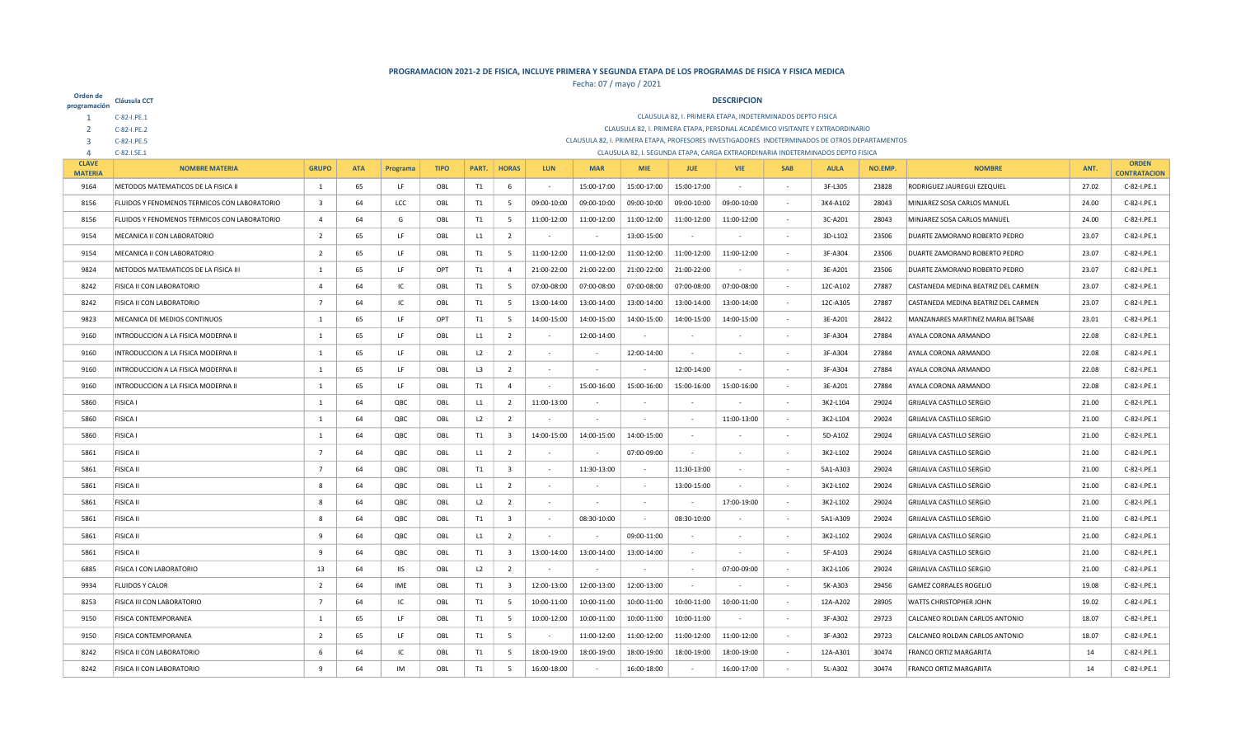| Orden de<br>programación       | Cláusula CCT                                 |                         |            |            |             |                |                         |             |                          |             |             | <b>DESCRIPCION</b>                                                                             |            |             |         |                                     |       |                     |
|--------------------------------|----------------------------------------------|-------------------------|------------|------------|-------------|----------------|-------------------------|-------------|--------------------------|-------------|-------------|------------------------------------------------------------------------------------------------|------------|-------------|---------|-------------------------------------|-------|---------------------|
|                                | C-82-I.PE.1                                  |                         |            |            |             |                |                         |             |                          |             |             | CLAUSULA 82, I. PRIMERA ETAPA, INDETERMINADOS DEPTO FISICA                                     |            |             |         |                                     |       |                     |
|                                | C-82-I.PE.2                                  |                         |            |            |             |                |                         |             |                          |             |             | CLAUSULA 82, I. PRIMERA ETAPA, PERSONAL ACADÉMICO VISITANTE Y EXTRAORDINARIO                   |            |             |         |                                     |       |                     |
| 3                              | C-82-I.PE.5                                  |                         |            |            |             |                |                         |             |                          |             |             | CLAUSULA 82, I. PRIMERA ETAPA, PROFESORES INVESTIGADORES INDETERMINADOS DE OTROS DEPARTAMENTOS |            |             |         |                                     |       |                     |
| $\overline{4}$<br><b>CLAVE</b> | C-82.I.SE.1                                  |                         |            |            |             |                |                         |             |                          |             |             | CLAUSULA 82, I. SEGUNDA ETAPA, CARGA EXTRAORDINARIA INDETERMINADOS DEPTO FISICA                |            |             |         |                                     |       | <b>ORDEN</b>        |
| <b>MATERIA</b>                 | <b>NOMBRE MATERIA</b>                        | <b>GRUPO</b>            | <b>ATA</b> | Programa   | <b>TIPO</b> | PART.          | <b>HORAS</b>            | <b>LUN</b>  | <b>MAR</b>               | <b>MIE</b>  | <b>JUE</b>  | <b>VIE</b>                                                                                     | <b>SAB</b> | <b>AULA</b> | NO.EMP. | <b>NOMBRE</b>                       | ANT.  | <b>CONTRATACION</b> |
| 9164                           | METODOS MATEMATICOS DE LA FISICA II          | 1                       | 65         | LF         | OBL         | T1             | -6                      |             | 15:00-17:00              | 15:00-17:00 | 15:00-17:00 |                                                                                                |            | 3F-L305     | 23828   | RODRIGUEZ JAUREGUI EZEQUIEL         | 27.02 | C-82-I.PE.1         |
| 8156                           | FLUIDOS Y FENOMENOS TERMICOS CON LABORATORIO | $\overline{\mathbf{3}}$ | 64         | LCC        | OBL         | T1             | 5                       | 09:00-10:00 | 09:00-10:00              | 09:00-10:00 | 09:00-10:00 | 09:00-10:00                                                                                    |            | 3K4-A102    | 28043   | MINJAREZ SOSA CARLOS MANUEL         | 24.00 | C-82-I.PE.1         |
| 8156                           | FLUIDOS Y FENOMENOS TERMICOS CON LABORATORIO | $\overline{4}$          | 64         | G          | OBL         | <b>T1</b>      | 5                       | 11:00-12:00 | 11:00-12:00              | 11:00-12:00 | 11:00-12:00 | 11:00-12:00                                                                                    |            | 3C-A201     | 28043   | MINJAREZ SOSA CARLOS MANUEL         | 24.00 | C-82-I.PE.1         |
| 9154                           | MECANICA II CON LABORATORIO                  | $\overline{2}$          | 65         | LF         | OBL         | L1             | $\overline{2}$          | $\sim$      | $\sim$                   | 13:00-15:00 | $\sim$      |                                                                                                | $\sim$     | 3D-L102     | 23506   | DUARTE ZAMORANO ROBERTO PEDRO       | 23.07 | C-82-I.PE.1         |
| 9154                           | MECANICA II CON LABORATORIO                  | $\overline{2}$          | 65         | LF         | OBL         | T1             | 5                       | 11:00-12:00 | 11:00-12:00              | 11:00-12:00 | 11:00-12:00 | 11:00-12:00                                                                                    |            | 3F-A304     | 23506   | DUARTE ZAMORANO ROBERTO PEDRO       | 23.07 | C-82-I.PE.1         |
| 9824                           | METODOS MATEMATICOS DE LA FISICA III         | 1                       | 65         | LF         | OPT         | T1             | $\overline{4}$          | 21:00-22:00 | 21:00-22:00              | 21:00-22:00 | 21:00-22:00 |                                                                                                |            | 3E-A201     | 23506   | DUARTE ZAMORANO ROBERTO PEDRO       | 23.07 | C-82-I.PE.1         |
| 8242                           | <b>FISICA II CON LABORATORIO</b>             | $\overline{a}$          | 64         | IC         | OBL         | T <sub>1</sub> | 5                       | 07:00-08:00 | 07:00-08:00              | 07:00-08:00 | 07:00-08:00 | 07:00-08:00                                                                                    |            | 12C-A102    | 27887   | CASTANEDA MEDINA BEATRIZ DEL CARMEN | 23.07 | C-82-I.PE.1         |
| 8242                           | <b>FISICA II CON LABORATORIO</b>             | $\overline{7}$          | 64         | IC         | OBL         | T1             | 5                       | 13:00-14:00 | 13:00-14:00              | 13:00-14:00 | 13:00-14:00 | 13:00-14:00                                                                                    |            | 12C-A305    | 27887   | CASTANEDA MEDINA BEATRIZ DEL CARMEN | 23.07 | C-82-I.PE.1         |
| 9823                           | MECANICA DE MEDIOS CONTINUOS                 | 1                       | 65         | LF         | OPT         | T1             | 5                       | 14:00-15:00 | 14:00-15:00              | 14:00-15:00 | 14:00-15:00 | 14:00-15:00                                                                                    |            | 3E-A201     | 28422   | MANZANARES MARTINEZ MARIA BETSABE   | 23.01 | C-82-I.PE.1         |
| 9160                           | INTRODUCCION A LA FISICA MODERNA II          | 1                       | 65         | LF         | OBL         | L1             | $\overline{2}$          |             | 12:00-14:00              |             |             |                                                                                                |            | 3F-A304     | 27884   | AYALA CORONA ARMANDO                | 22.08 | C-82-I.PE.1         |
| 9160                           | INTRODUCCION A LA FISICA MODERNA II          | 1                       | 65         | LF         | OBL         | L2             | $\overline{2}$          | $\sim$      | $\sim$                   | 12:00-14:00 | $\sim$      |                                                                                                |            | 3F-A304     | 27884   | AYALA CORONA ARMANDO                | 22.08 | C-82-I.PE.1         |
| 9160                           | INTRODUCCION A LA FISICA MODERNA II          | 1                       | 65         | LF         | OBL         | L3             | $\overline{2}$          |             |                          |             | 12:00-14:00 |                                                                                                |            | 3F-A304     | 27884   | AYALA CORONA ARMANDO                | 22.08 | C-82-I.PE.1         |
| 9160                           | INTRODUCCION A LA FISICA MODERNA II          | $\mathbf{1}$            | 65         | LF         | OBL         | T1             | $\overline{4}$          |             | 15:00-16:00              | 15:00-16:00 | 15:00-16:00 | 15:00-16:00                                                                                    |            | 3E-A201     | 27884   | AYALA CORONA ARMANDO                | 22.08 | C-82-I.PE.1         |
| 5860                           | <b>FISICA I</b>                              | 1                       | 64         | QBC        | OBL         | L1             | $\overline{2}$          | 11:00-13:00 | $\sim$                   | $\sim$      | $\sim$      |                                                                                                |            | 3K2-L104    | 29024   | GRIJALVA CASTILLO SERGIO            | 21.00 | C-82-I.PE.1         |
| 5860                           | <b>FISICA I</b>                              | $\mathbf{1}$            | 64         | QBC        | OBL         | L <sub>2</sub> | $\overline{2}$          |             |                          |             |             | 11:00-13:00                                                                                    |            | 3K2-L104    | 29024   | <b>GRIJALVA CASTILLO SERGIO</b>     | 21.00 | C-82-I.PE.1         |
| 5860                           | <b>FISICA I</b>                              | $\mathbf{1}$            | 64         | QBC        | OBL         | T1             | $\overline{\mathbf{3}}$ | 14:00-15:00 | 14:00-15:00              | 14:00-15:00 | $\sim$      |                                                                                                | $\sim$     | 5D-A102     | 29024   | GRIJALVA CASTILLO SERGIO            | 21.00 | C-82-I.PE.1         |
| 5861                           | <b>FISICA II</b>                             | $\overline{7}$          | 64         | QBC        | OBL         | L1             | $\overline{2}$          | $\sim$      | $\overline{\phantom{a}}$ | 07:00-09:00 | $\sim$      |                                                                                                |            | 3K2-L102    | 29024   | <b>GRIJALVA CASTILLO SERGIO</b>     | 21.00 | C-82-I.PE.1         |
| 5861                           | <b>FISICA II</b>                             | $\overline{7}$          | 64         | QBC        | OBL         | T1             | $\overline{\mathbf{3}}$ | $\sim$      | 11:30-13:00              |             | 11:30-13:00 |                                                                                                |            | 5A1-A303    | 29024   | <b>GRIJALVA CASTILLO SERGIO</b>     | 21.00 | C-82-I.PE.1         |
| 5861                           | <b>FISICA II</b>                             | 8                       | 64         | QBC        | OBL         | L1             | $\overline{2}$          | $\sim$      |                          |             | 13:00-15:00 |                                                                                                |            | 3K2-L102    | 29024   | GRIJALVA CASTILLO SERGIO            | 21.00 | C-82-I.PE.1         |
| 5861                           | <b>FISICA II</b>                             | 8                       | 64         | QBC        | OBL         | L2             | $\overline{2}$          |             |                          |             |             | 17:00-19:00                                                                                    |            | 3K2-L102    | 29024   | <b>GRIJALVA CASTILLO SERGIO</b>     | 21.00 | C-82-I.PE.1         |
| 5861                           | <b>FISICA II</b>                             | 8                       | 64         | QBC        | OBL         | T <sub>1</sub> | $\overline{\mathbf{3}}$ | $\sim$      | 08:30-10:00              | $\sim$      | 08:30-10:00 |                                                                                                | $\sim$     | 5A1-A309    | 29024   | GRIJALVA CASTILLO SERGIO            | 21.00 | C-82-I.PE.1         |
| 5861                           | <b>FISICA II</b>                             | -9                      | 64         | QBC        | OBL         | L1             | $\overline{2}$          |             |                          | 09:00-11:00 |             |                                                                                                |            | 3K2-L102    | 29024   | <b>GRIJALVA CASTILLO SERGIO</b>     | 21.00 | C-82-I.PE.1         |
| 5861                           | <b>FISICA II</b>                             | 9                       | 64         | QBC        | OBL         | T1             | $\overline{\mathbf{3}}$ | 13:00-14:00 | 13:00-14:00              | 13:00-14:00 | $\sim$      |                                                                                                |            | 5F-A103     | 29024   | <b>GRIJALVA CASTILLO SERGIO</b>     | 21.00 | C-82-I.PE.1         |
| 6885                           | FISICA I CON LABORATORIO                     | 13                      | 64         | <b>IIS</b> | OBL         | L <sub>2</sub> | $\overline{2}$          | $\sim$      | $\sim$                   |             | $\sim$      | 07:00-09:00                                                                                    | $\sim$     | 3K2-L106    | 29024   | <b>GRIJALVA CASTILLO SERGIO</b>     | 21.00 | C-82-I.PE.1         |
| 9934                           | <b>FLUIDOS Y CALOR</b>                       | $\overline{2}$          | 64         | IME        | OBL         | T1             | $\overline{\mathbf{3}}$ | 12:00-13:00 | 12:00-13:00              | 12:00-13:00 | $\sim$      |                                                                                                |            | 5K-A303     | 29456   | <b>GAMEZ CORRALES ROGELIO</b>       | 19.08 | C-82-I.PE.1         |
| 8253                           | <b>FISICA III CON LABORATORIO</b>            | $\overline{7}$          | 64         | IC         | OBL         | T1             | 5                       | 10:00-11:00 | 10:00-11:00              | 10:00-11:00 | 10:00-11:00 | 10:00-11:00                                                                                    |            | 12A-A202    | 28905   | <b>WATTS CHRISTOPHER JOHN</b>       | 19.02 | C-82-I.PE.1         |
| 9150                           | <b>FISICA CONTEMPORANEA</b>                  | 1                       | 65         | LF         | OBL         | T1             | 5                       | 10:00-12:00 | 10:00-11:00              | 10:00-11:00 | 10:00-11:00 |                                                                                                |            | 3F-A302     | 29723   | CALCANEO ROLDAN CARLOS ANTONIO      | 18.07 | C-82-I.PE.1         |
| 9150                           | <b>FISICA CONTEMPORANEA</b>                  | $\overline{2}$          | 65         | LF         | OBL         | T1             | 5                       |             | 11:00-12:00              | 11:00-12:00 | 11:00-12:00 | 11:00-12:00                                                                                    |            | 3F-A302     | 29723   | CALCANEO ROLDAN CARLOS ANTONIO      | 18.07 | C-82-I.PE.1         |
| 8242                           | <b>FISICA II CON LABORATORIO</b>             | -6                      | 64         | IC.        | OBL         | T1             | -5                      | 18:00-19:00 | 18:00-19:00              | 18:00-19:00 | 18:00-19:00 | 18:00-19:00                                                                                    |            | 12A-A301    | 30474   | <b>FRANCO ORTIZ MARGARITA</b>       | 14    | C-82-I.PE.1         |
| 8242                           | <b>FISICA II CON LABORATORIO</b>             | $\mathbf{Q}$            | 64         | <b>IM</b>  | OBL         | T1             | $\overline{a}$          | 16:00-18:00 |                          | 16:00-18:00 |             | 16:00-17:00                                                                                    |            | 5L-A302     | 30474   | <b>FRANCO ORTIZ MARGARITA</b>       | 14    | C-82-I.PE.1         |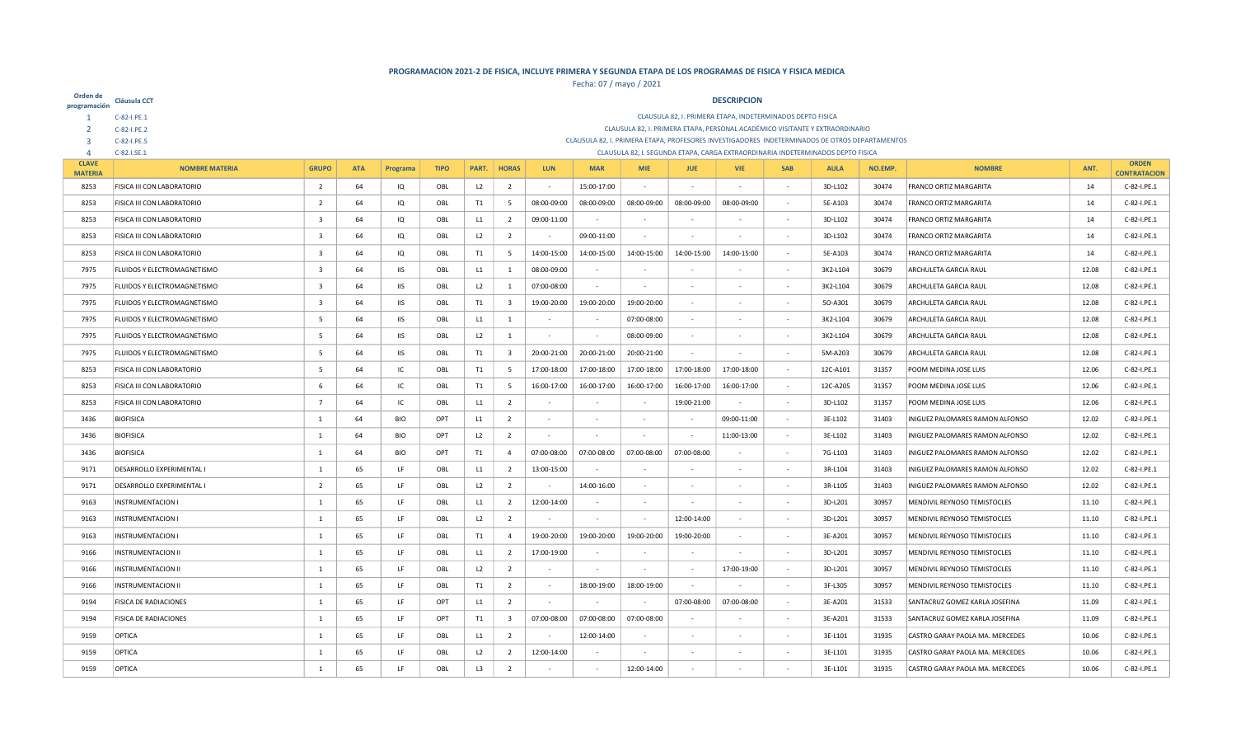| Orden de<br>programación       | Cláusula CCT                 |                                                                                                                                                                                                              |            |            |             |                |                         |             |                          |             |             | <b>DESCRIPCION</b>                                         |                          |                                                                                                |         |                                 |       |                     |
|--------------------------------|------------------------------|--------------------------------------------------------------------------------------------------------------------------------------------------------------------------------------------------------------|------------|------------|-------------|----------------|-------------------------|-------------|--------------------------|-------------|-------------|------------------------------------------------------------|--------------------------|------------------------------------------------------------------------------------------------|---------|---------------------------------|-------|---------------------|
|                                | C-82-I.PE.1                  |                                                                                                                                                                                                              |            |            |             |                |                         |             |                          |             |             | CLAUSULA 82, I. PRIMERA ETAPA, INDETERMINADOS DEPTO FISICA |                          |                                                                                                |         |                                 |       |                     |
|                                | C-82-I.PE.2                  |                                                                                                                                                                                                              |            |            |             |                |                         |             |                          |             |             |                                                            |                          | CLAUSULA 82, I. PRIMERA ETAPA, PERSONAL ACADÉMICO VISITANTE Y EXTRAORDINARIO                   |         |                                 |       |                     |
| 3                              | C-82-I.PE.5                  |                                                                                                                                                                                                              |            |            |             |                |                         |             |                          |             |             |                                                            |                          | CLAUSULA 82, I. PRIMERA ETAPA, PROFESORES INVESTIGADORES INDETERMINADOS DE OTROS DEPARTAMENTOS |         |                                 |       |                     |
| $\overline{4}$<br><b>CLAVE</b> | C-82.I.SE.1                  |                                                                                                                                                                                                              |            |            |             |                |                         |             |                          |             |             |                                                            |                          | CLAUSULA 82, I. SEGUNDA ETAPA, CARGA EXTRAORDINARIA INDETERMINADOS DEPTO FISICA                |         |                                 |       | <b>ORDEN</b>        |
| <b>MATERIA</b>                 | <b>NOMBRE MATERIA</b>        | <b>GRUPO</b>                                                                                                                                                                                                 | <b>ATA</b> | Programa   | <b>TIPO</b> | PART.          | <b>HORAS</b>            | <b>LUN</b>  | <b>MAR</b>               | <b>MIE</b>  | <b>JUE</b>  | <b>VIE</b>                                                 | <b>SAB</b>               | <b>AULA</b>                                                                                    | NO.EMP. | <b>NOMBRE</b>                   | ANT.  | <b>CONTRATACION</b> |
| 8253                           | FISICA III CON LABORATORIO   | $\overline{2}$                                                                                                                                                                                               | 64         | IQ         | OBL         | L <sub>2</sub> | $\overline{2}$          | $\sim$      | 15:00-17:00              | $\sim$      |             |                                                            | $\sim$                   | 3D-L102                                                                                        | 30474   | <b>FRANCO ORTIZ MARGARITA</b>   | 14    | C-82-I.PE.1         |
| 8253                           | FISICA III CON LABORATORIO   | $\overline{2}$                                                                                                                                                                                               | 64         | IQ         | OBL         | T1             | - 5                     | 08:00-09:00 | 08:00-09:00              | 08:00-09:00 | 08:00-09:00 | 08:00-09:00                                                |                          | 5E-A103                                                                                        | 30474   | <b>FRANCO ORTIZ MARGARITA</b>   | 14    | C-82-I.PE.1         |
| 8253                           | FISICA III CON LABORATORIO   | 3                                                                                                                                                                                                            | 64         | IQ         | OBL         | L1             | $\overline{2}$          | 09:00-11:00 | $\sim$                   | $\sim$      |             |                                                            | $\sim$                   | 3D-L102                                                                                        | 30474   | <b>FRANCO ORTIZ MARGARITA</b>   | 14    | C-82-I.PE.1         |
| 8253                           | FISICA III CON LABORATORIO   | $\overline{\mathbf{3}}$                                                                                                                                                                                      | 64         | IQ         | OBL         | L2             | $\overline{2}$          |             | 09:00-11:00              | $\sim$      |             |                                                            | ٠                        | 3D-L102                                                                                        | 30474   | <b>FRANCO ORTIZ MARGARITA</b>   | 14    | C-82-I.PE.1         |
| 8253                           | FISICA III CON LABORATORIO   | $\overline{\mathbf{3}}$                                                                                                                                                                                      | 64         | IQ         | OBL         | T1             | $5\overline{5}$         | 14:00-15:00 | 14:00-15:00              | 14:00-15:00 | 14:00-15:00 | 14:00-15:00                                                | $\overline{\phantom{a}}$ | 5E-A103                                                                                        | 30474   | <b>FRANCO ORTIZ MARGARITA</b>   | 14    | C-82-I.PE.1         |
| 7975                           | FLUIDOS Y ELECTROMAGNETISMO  | $\overline{\mathbf{3}}$                                                                                                                                                                                      | 64         | <b>IIS</b> | OBL         | L1             | $\mathbf{1}$            | 08:00-09:00 |                          |             |             |                                                            | $\sim$                   | 3K2-L104                                                                                       | 30679   | ARCHULETA GARCIA RAUL           | 12.08 | C-82-I.PE.1         |
| 7975                           | FLUIDOS Y ELECTROMAGNETISMO  | 07:00-08:00<br>$\overline{\mathbf{3}}$<br>64<br><b>IIS</b><br>OBL<br>L2<br>$\mathbf{1}$<br>3K2-L104<br>30679<br>ARCHULETA GARCIA RAUL<br>12.08<br>C-82-I.PE.1<br>$\sim$<br>$\sim$                            |            |            |             |                |                         |             |                          |             |             |                                                            |                          |                                                                                                |         |                                 |       |                     |
| 7975                           | FLUIDOS Y ELECTROMAGNETISMO  | $\overline{\mathbf{3}}$<br>64<br><b>IIS</b><br>OBL<br>T1<br>$\overline{\mathbf{3}}$<br>19:00-20:00<br>19:00-20:00<br>19:00-20:00<br>50-A301<br>30679<br><b>ARCHULETA GARCIA RAUL</b><br>12.08<br>C-82-I.PE.1 |            |            |             |                |                         |             |                          |             |             |                                                            |                          |                                                                                                |         |                                 |       |                     |
| 7975                           | FLUIDOS Y ELECTROMAGNETISMO  | 64<br>IIS<br>07:00-08:00<br>30679<br>12.08<br>C-82-I.PE.1<br>- 5<br>OBL<br>L1<br>1<br>3K2-L104<br>ARCHULETA GARCIA RAUL<br>$\sim$<br>$\sim$<br>$\sim$<br>$\sim$                                              |            |            |             |                |                         |             |                          |             |             |                                                            |                          |                                                                                                |         |                                 |       |                     |
| 7975                           | FLUIDOS Y ELECTROMAGNETISMO  | -5<br>64<br><b>IIS</b><br>OBL<br>L2<br>$\mathbf{1}$<br>08:00-09:00<br>3K2-L104<br>30679<br><b>ARCHULETA GARCIA RAUL</b><br>12.08<br>C-82-I.PE.1<br>$\sim$<br>$\overline{\phantom{a}}$<br>$\sim$              |            |            |             |                |                         |             |                          |             |             |                                                            |                          |                                                                                                |         |                                 |       |                     |
| 7975                           | FLUIDOS Y ELECTROMAGNETISMO  | 64<br><b>IIS</b><br>T1<br>20:00-21:00<br>20:00-21:00<br>20:00-21:00<br>5M-A203<br>30679<br>ARCHULETA GARCIA RAUL<br>12.08<br>C-82-I.PE.1<br>-5<br>OBL<br>$\overline{\mathbf{3}}$<br>$\sim$<br>$\sim$         |            |            |             |                |                         |             |                          |             |             |                                                            |                          |                                                                                                |         |                                 |       |                     |
| 8253                           | FISICA III CON LABORATORIO   | -5                                                                                                                                                                                                           | 64         | IC         | OBL         | T1             | 5                       | 17:00-18:00 | 17:00-18:00              | 17:00-18:00 | 17:00-18:00 | 17:00-18:00                                                |                          | 12C-A101                                                                                       | 31357   | POOM MEDINA JOSE LUIS           | 12.06 | C-82-I.PE.1         |
| 8253                           | FISICA III CON LABORATORIO   | 6                                                                                                                                                                                                            | 64         | IC         | OBL         | T1             | - 5                     | 16:00-17:00 | 16:00-17:00              | 16:00-17:00 | 16:00-17:00 | 16:00-17:00                                                |                          | 12C-A205                                                                                       | 31357   | <b>POOM MEDINA JOSE LUIS</b>    | 12.06 | C-82-I.PE.1         |
| 8253                           | FISICA III CON LABORATORIO   | $\overline{7}$                                                                                                                                                                                               | 64         | IC         | OBL         | L1             | $\overline{2}$          |             | $\overline{\phantom{a}}$ |             | 19:00-21:00 |                                                            | $\overline{\phantom{a}}$ | 3D-L102                                                                                        | 31357   | POOM MEDINA JOSE LUIS           | 12.06 | C-82-I.PE.1         |
| 3436                           | <b>BIOFISICA</b>             | <sup>1</sup>                                                                                                                                                                                                 | 64         | BIO        | OPT         | L1             | $\overline{2}$          |             |                          |             |             | 09:00-11:00                                                |                          | 3E-L102                                                                                        | 31403   | INIGUEZ PALOMARES RAMON ALFONSO | 12.02 | C-82-I.PE.1         |
| 3436                           | <b>BIOFISICA</b>             | -1                                                                                                                                                                                                           | 64         | <b>BIO</b> | OPT         | L2             | $\overline{2}$          |             |                          |             |             | 11:00-13:00                                                |                          | 3E-L102                                                                                        | 31403   | INIGUEZ PALOMARES RAMON ALFONSO | 12.02 | C-82-I.PE.1         |
| 3436                           | <b>BIOFISICA</b>             | - 1                                                                                                                                                                                                          | 64         | <b>BIO</b> | OPT         | T1             | $\overline{4}$          | 07:00-08:00 | 07:00-08:00              | 07:00-08:00 | 07:00-08:00 |                                                            | $\sim$                   | 7G-L103                                                                                        | 31403   | INIGUEZ PALOMARES RAMON ALFONSO | 12.02 | C-82-I.PE.1         |
| 9171                           | DESARROLLO EXPERIMENTAL I    | -1                                                                                                                                                                                                           | 65         | LF         | OBL         | L1             | $\overline{2}$          | 13:00-15:00 | ٠                        | $\sim$      |             |                                                            | $\sim$                   | 3R-L104                                                                                        | 31403   | INIGUEZ PALOMARES RAMON ALFONSO | 12.02 | C-82-I.PE.1         |
| 9171                           | DESARROLLO EXPERIMENTAL I    | $\overline{2}$                                                                                                                                                                                               | 65         | LF         | OBL         | L2             | $\overline{2}$          |             | 14:00-16:00              |             |             |                                                            | $\sim$                   | 3R-L105                                                                                        | 31403   | INIGUEZ PALOMARES RAMON ALFONSO | 12.02 | C-82-I.PE.1         |
| 9163                           | <b>INSTRUMENTACION I</b>     | $\mathbf{1}$                                                                                                                                                                                                 | 65         | LF         | OBL         | L1             | $\overline{2}$          | 12:00-14:00 |                          |             |             |                                                            | $\overline{\phantom{a}}$ | 3D-L201                                                                                        | 30957   | MENDIVIL REYNOSO TEMISTOCLES    | 11.10 | C-82-I.PE.1         |
| 9163                           | <b>INSTRUMENTACION I</b>     | 1                                                                                                                                                                                                            | 65         | LF         | OBL         | L2             | $\overline{2}$          |             |                          |             | 12:00-14:00 |                                                            | $\sim$                   | 3D-L201                                                                                        | 30957   | MENDIVIL REYNOSO TEMISTOCLES    | 11.10 | C-82-I.PE.1         |
| 9163                           | <b>INSTRUMENTACION I</b>     | $\mathbf{1}$                                                                                                                                                                                                 | 65         | LF         | OBL         | T1             | $\overline{4}$          | 19:00-20:00 | 19:00-20:00              | 19:00-20:00 | 19:00-20:00 |                                                            | $\overline{\phantom{a}}$ | 3E-A201                                                                                        | 30957   | MENDIVIL REYNOSO TEMISTOCLES    | 11.10 | C-82-I.PE.1         |
| 9166                           | <b>INSTRUMENTACION II</b>    | $\mathbf{1}$                                                                                                                                                                                                 | 65         | LF         | OBL         | L1             | $\overline{2}$          | 17:00-19:00 | $\sim$                   |             |             |                                                            | $\sim$                   | 3D-L201                                                                                        | 30957   | MENDIVIL REYNOSO TEMISTOCLES    | 11.10 | C-82-I.PE.1         |
| 9166                           | <b>INSTRUMENTACION II</b>    | $\mathbf{1}$                                                                                                                                                                                                 | 65         | LF         | OBL         | L2             | $\overline{2}$          |             |                          |             |             | 17:00-19:00                                                | $\sim$                   | 3D-L201                                                                                        | 30957   | MENDIVIL REYNOSO TEMISTOCLES    | 11.10 | C-82-I.PE.1         |
| 9166                           | <b>INSTRUMENTACION II</b>    | 1                                                                                                                                                                                                            | 65         | LF         | OBL         | T1             | $\overline{2}$          | $\sim$      | 18:00-19:00              | 18:00-19:00 | $\sim$      |                                                            | $\sim$                   | 3F-L305                                                                                        | 30957   | MENDIVIL REYNOSO TEMISTOCLES    | 11.10 | C-82-I.PE.1         |
| 9194                           | FISICA DE RADIACIONES        | 1                                                                                                                                                                                                            | 65         | LF         | OPT         | L1             | $\overline{2}$          | $\sim$      |                          |             | 07:00-08:00 | 07:00-08:00                                                | $\sim$                   | 3E-A201                                                                                        | 31533   | SANTACRUZ GOMEZ KARLA JOSEFINA  | 11.09 | C-82-I.PE.1         |
| 9194                           | <b>FISICA DE RADIACIONES</b> | 1                                                                                                                                                                                                            | 65         | LF         | OPT         | T1             | $\overline{\mathbf{3}}$ | 07:00-08:00 | 07:00-08:00              | 07:00-08:00 | $\sim$      |                                                            | $\sim$                   | 3E-A201                                                                                        | 31533   | SANTACRUZ GOMEZ KARLA JOSEFINA  | 11.09 | C-82-I.PE.1         |
| 9159                           | OPTICA                       | 1                                                                                                                                                                                                            | 65         | LF         | OBL         | L1             | $\overline{2}$          |             | 12:00-14:00              |             |             |                                                            |                          | 3E-L101                                                                                        | 31935   | CASTRO GARAY PAOLA MA. MERCEDES | 10.06 | C-82-I.PE.1         |
| 9159                           | OPTICA                       | 1                                                                                                                                                                                                            | 65         | LF         | OBL         | L2             | $\overline{2}$          | 12:00-14:00 |                          |             |             |                                                            |                          | 3E-L101                                                                                        | 31935   | CASTRO GARAY PAOLA MA. MERCEDES | 10.06 | C-82-I.PE.1         |
| 9159                           | OPTICA                       | 1                                                                                                                                                                                                            | 65         | 1F         | OBL         | L3             | $\overline{2}$          |             | $\sim$                   | 12:00-14:00 |             |                                                            |                          | 3E-L101                                                                                        | 31935   | CASTRO GARAY PAOLA MA. MERCEDES | 10.06 | C-82-I.PE.1         |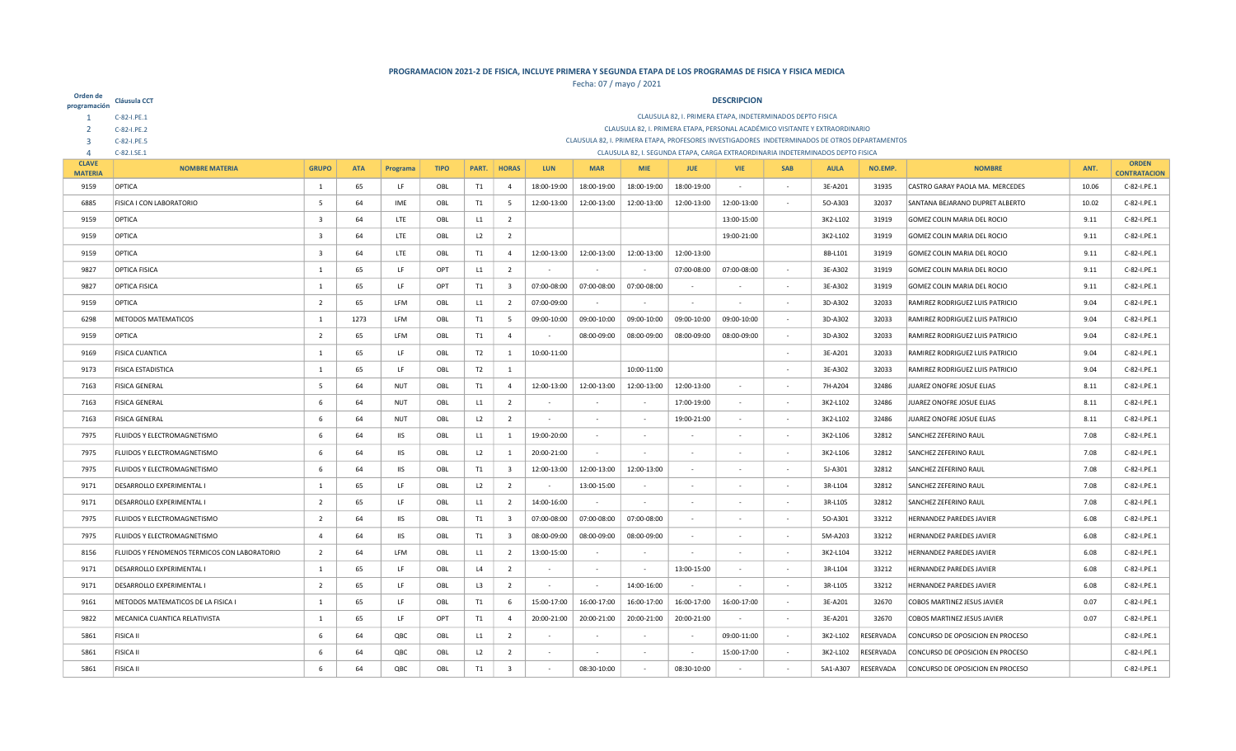| Orden de<br>programación | Cláusula CCT                                 |                                                                                                                                                                                                 |            |            |             |                |                         |                            |                            |                            |                            | <b>DESCRIPCION</b>                                                                                                                                                                |                          |                    |                |                                                                    |             |                            |
|--------------------------|----------------------------------------------|-------------------------------------------------------------------------------------------------------------------------------------------------------------------------------------------------|------------|------------|-------------|----------------|-------------------------|----------------------------|----------------------------|----------------------------|----------------------------|-----------------------------------------------------------------------------------------------------------------------------------------------------------------------------------|--------------------------|--------------------|----------------|--------------------------------------------------------------------|-------------|----------------------------|
| -1                       | C-82-I.PE.1                                  |                                                                                                                                                                                                 |            |            |             |                |                         |                            |                            |                            |                            | CLAUSULA 82, I. PRIMERA ETAPA, INDETERMINADOS DEPTO FISICA                                                                                                                        |                          |                    |                |                                                                    |             |                            |
|                          | C-82-I.PE.2                                  |                                                                                                                                                                                                 |            |            |             |                |                         |                            |                            |                            |                            | CLAUSULA 82, I. PRIMERA ETAPA, PERSONAL ACADÉMICO VISITANTE Y EXTRAORDINARIO                                                                                                      |                          |                    |                |                                                                    |             |                            |
| 3<br>$\overline{4}$      | C-82-I.PE.5<br>C-82.I.SE.1                   |                                                                                                                                                                                                 |            |            |             |                |                         |                            |                            |                            |                            | CLAUSULA 82, I. PRIMERA ETAPA, PROFESORES INVESTIGADORES INDETERMINADOS DE OTROS DEPARTAMENTOS<br>CLAUSULA 82, I. SEGUNDA ETAPA, CARGA EXTRAORDINARIA INDETERMINADOS DEPTO FISICA |                          |                    |                |                                                                    |             |                            |
| <b>CLAVE</b>             | <b>NOMBRE MATERIA</b>                        | <b>GRUPO</b>                                                                                                                                                                                    | <b>ATA</b> | Programa   | <b>TIPO</b> | PART.          | <b>HORAS</b>            | LUN                        | <b>MAR</b>                 | <b>MIF</b>                 | <b>JUE</b>                 | <b>VIE</b>                                                                                                                                                                        | <b>SAB</b>               | <b>AULA</b>        | NO.EMP.        | <b>NOMBRE</b>                                                      | ANT.        | <b>ORDEN</b>               |
| <b>MATERIA</b>           | OPTICA                                       | $\overline{1}$                                                                                                                                                                                  |            |            |             |                |                         |                            |                            |                            |                            |                                                                                                                                                                                   |                          |                    |                |                                                                    | 10.06       | <b>CONTRATACION</b>        |
| 9159<br>6885             | FISICA I CON LABORATORIO                     | - 5                                                                                                                                                                                             | 65<br>64   | LF<br>IME  | OBL         | T1             | $\overline{4}$          | 18:00-19:00<br>12:00-13:00 | 18:00-19:00<br>12:00-13:00 | 18:00-19:00<br>12:00-13:00 | 18:00-19:00<br>12:00-13:00 | 12:00-13:00                                                                                                                                                                       |                          | 3E-A201<br>50-A303 | 31935<br>32037 | CASTRO GARAY PAOLA MA. MERCEDES<br>SANTANA BEJARANO DUPRET ALBERTO | 10.02       | C-82-I.PE.1<br>C-82-I.PE.1 |
|                          |                                              |                                                                                                                                                                                                 |            |            | OBL         | T1             | 5                       |                            |                            |                            |                            |                                                                                                                                                                                   | $\overline{\phantom{a}}$ |                    |                |                                                                    |             |                            |
| 9159                     | OPTICA                                       | - 3                                                                                                                                                                                             | 64         | LTE        | OBL         | L1             | $\overline{2}$          |                            |                            |                            |                            | 13:00-15:00                                                                                                                                                                       |                          | 3K2-L102           | 31919          | GOMEZ COLIN MARIA DEL ROCIO                                        | 9.11        | C-82-I.PE.1                |
| 9159                     | OPTICA                                       | $\overline{\mathbf{3}}$                                                                                                                                                                         | 64         | LTE        | OBL         | L2             | $\overline{2}$          |                            |                            |                            |                            | 19:00-21:00                                                                                                                                                                       |                          | 3K2-L102           | 31919          | GOMEZ COLIN MARIA DEL ROCIO                                        | 9.11        | C-82-I.PE.1                |
| 9159                     | OPTICA                                       | - 3                                                                                                                                                                                             | 64         | LTE        | OBL         | T1             | $\overline{4}$          | 12:00-13:00                | 12:00-13:00                | 12:00-13:00                | 12:00-13:00                |                                                                                                                                                                                   |                          | 8B-L101            | 31919          | GOMEZ COLIN MARIA DEL ROCIO                                        | 9.11        | C-82-I.PE.1                |
| 9827                     | <b>OPTICA FISICA</b>                         | $\overline{1}$                                                                                                                                                                                  | 65         | LF         | OPT         | L1             | $\overline{2}$          |                            |                            |                            | 07:00-08:00                | 07:00-08:00                                                                                                                                                                       | $\sim$                   | 3E-A302            | 31919          | GOMEZ COLIN MARIA DEL ROCIO                                        | 9.11        | C-82-I.PE.1                |
| 9827                     | <b>OPTICA FISICA</b>                         | $\overline{1}$                                                                                                                                                                                  | 65         | LF         | OPT         | T1             | $\overline{\mathbf{3}}$ | 07:00-08:00                | 07:00-08:00                | 07:00-08:00                |                            |                                                                                                                                                                                   |                          | 3E-A302            | 31919          | GOMEZ COLIN MARIA DEL ROCIO                                        | 9.11        | C-82-I.PE.1                |
| 9159                     | OPTICA                                       | $\overline{2}$                                                                                                                                                                                  | 65         | LFM        | OBL         | L1             | $\overline{2}$          | 07:00-09:00                |                            |                            |                            |                                                                                                                                                                                   | $\sim$                   | 3D-A302            | 32033          | RAMIREZ RODRIGUEZ LUIS PATRICIO                                    | 9.04        | C-82-I.PE.1                |
| 6298                     | METODOS MATEMATICOS                          | $\overline{1}$<br>1273<br>LFM<br>OBL<br>T1<br>5<br>09:00-10:00<br>09:00-10:00<br>09:00-10:00<br>09:00-10:00<br>09:00-10:00<br>3D-A302<br>32033<br>RAMIREZ RODRIGUEZ LUIS PATRICIO<br>9.04       |            |            |             |                |                         |                            |                            |                            |                            |                                                                                                                                                                                   |                          |                    |                |                                                                    | C-82-I.PE.1 |                            |
| 9159                     | OPTICA                                       | $\overline{2}$<br>65<br>LFM<br>OBL<br>T1<br>$\overline{4}$<br>08:00-09:00<br>08:00-09:00<br>08:00-09:00<br>08:00-09:00<br>3D-A302<br>32033<br>RAMIREZ RODRIGUEZ LUIS PATRICIO<br>9.04<br>$\sim$ |            |            |             |                |                         |                            |                            |                            |                            |                                                                                                                                                                                   |                          |                    |                |                                                                    | C-82-I.PE.1 |                            |
| 9169                     | <b>FISICA CUANTICA</b>                       | 65<br>LF.<br>OBL<br>T2<br>10:00-11:00<br>32033<br>RAMIREZ RODRIGUEZ LUIS PATRICIO<br>1<br>1<br>3E-A201<br>9.04<br>$\sim$                                                                        |            |            |             |                |                         |                            |                            |                            |                            |                                                                                                                                                                                   |                          |                    |                |                                                                    | C-82-I.PE.1 |                            |
| 9173                     | <b>FISICA ESTADISTICA</b>                    | $\overline{1}$                                                                                                                                                                                  | 65         | LF         | OBL         | T2             | 1                       |                            |                            | 10:00-11:00                |                            |                                                                                                                                                                                   | ٠                        | 3E-A302            | 32033          | RAMIREZ RODRIGUEZ LUIS PATRICIO                                    | 9.04        | C-82-I.PE.1                |
| 7163                     | <b>FISICA GENERAL</b>                        | -5                                                                                                                                                                                              | 64         | NUT        | OBL         | T1             | $\overline{4}$          | 12:00-13:00                | 12:00-13:00                | 12:00-13:00                | 12:00-13:00                |                                                                                                                                                                                   |                          | 7H-A204            | 32486          | JUAREZ ONOFRE JOSUE ELIAS                                          | 8.11        | C-82-I.PE.1                |
| 7163                     | <b>FISICA GENERAL</b>                        | - 6                                                                                                                                                                                             | 64         | <b>NUT</b> | OBL         | L1             | $\overline{2}$          |                            |                            |                            | 17:00-19:00                |                                                                                                                                                                                   |                          | 3K2-L102           | 32486          | JUAREZ ONOFRE JOSUE ELIAS                                          | 8.11        | C-82-I.PE.1                |
| 7163                     | <b>FISICA GENERAL</b>                        | -6                                                                                                                                                                                              | 64         | NUT        | OBL         | L <sub>2</sub> | $\overline{2}$          |                            |                            |                            | 19:00-21:00                |                                                                                                                                                                                   |                          | 3K2-L102           | 32486          | JUAREZ ONOFRE JOSUE ELIAS                                          | 8.11        | C-82-I.PE.1                |
| 7975                     | FLUIDOS Y ELECTROMAGNETISMO                  | -6                                                                                                                                                                                              | 64         | IIS        | OBL         | L1             | 1                       | 19:00-20:00                | $\sim$                     |                            |                            |                                                                                                                                                                                   | ٠                        | 3K2-L106           | 32812          | SANCHEZ ZEFERINO RAUL                                              | 7.08        | C-82-I.PE.1                |
| 7975                     | FLUIDOS Y ELECTROMAGNETISMO                  | -6                                                                                                                                                                                              | 64         | IIS        | OBL         | L2             | 1                       | 20:00-21:00                |                            |                            |                            |                                                                                                                                                                                   |                          | 3K2-L106           | 32812          | SANCHEZ ZEFERINO RAUL                                              | 7.08        | C-82-I.PE.1                |
| 7975                     | FLUIDOS Y ELECTROMAGNETISMO                  | 6                                                                                                                                                                                               | 64         | <b>IIS</b> | OBL         | T1             | $\overline{\mathbf{3}}$ | 12:00-13:00                | 12:00-13:00                | 12:00-13:00                | $\sim$                     |                                                                                                                                                                                   | $\sim$                   | 5J-A301            | 32812          | SANCHEZ ZEFERINO RAUL                                              | 7.08        | C-82-I.PE.1                |
| 9171                     | DESARROLLO EXPERIMENTAL I                    | 1                                                                                                                                                                                               | 65         | LF         | OBL         | L2             | $\overline{2}$          |                            | 13:00-15:00                | $\sim$                     |                            |                                                                                                                                                                                   | $\sim$                   | 3R-L104            | 32812          | SANCHEZ ZEFERINO RAUL                                              | 7.08        | C-82-I.PE.1                |
| 9171                     | DESARROLLO EXPERIMENTAL I                    | $\overline{2}$                                                                                                                                                                                  | 65         | LF         | OBL         | L1             | $\overline{2}$          | 14:00-16:00                |                            | $\sim$                     |                            |                                                                                                                                                                                   | $\sim$                   | 3R-L105            | 32812          | SANCHEZ ZEFERINO RAUL                                              | 7.08        | C-82-I.PE.1                |
| 7975                     | FLUIDOS Y ELECTROMAGNETISMO                  | $\overline{2}$                                                                                                                                                                                  | 64         | <b>IIS</b> | OBL         | T1             | $\overline{\mathbf{3}}$ | 07:00-08:00                | 07:00-08:00                | 07:00-08:00                |                            |                                                                                                                                                                                   |                          | 50-A301            | 33212          | HERNANDEZ PAREDES JAVIER                                           | 6.08        | C-82-I.PE.1                |
| 7975                     | FLUIDOS Y ELECTROMAGNETISMO                  | $\overline{4}$                                                                                                                                                                                  | 64         | <b>IIS</b> | OBL         | T1             | $\overline{\mathbf{3}}$ | 08:00-09:00                | 08:00-09:00                | 08:00-09:00                | $\sim$                     |                                                                                                                                                                                   | $\sim$                   | 5M-A203            | 33212          | HERNANDEZ PAREDES JAVIER                                           | 6.08        | C-82-I.PE.1                |
| 8156                     | FLUIDOS Y FENOMENOS TERMICOS CON LABORATORIO | $\overline{2}$                                                                                                                                                                                  | 64         | LFM        | OBL         | L1             | $\overline{2}$          | 13:00-15:00                |                            |                            |                            |                                                                                                                                                                                   |                          | 3K2-L104           | 33212          | HERNANDEZ PAREDES JAVIER                                           | 6.08        | C-82-I.PE.1                |
| 9171                     | <b>DESARROLLO EXPERIMENTAL I</b>             | 1                                                                                                                                                                                               | 65         | LF         | OBL         | L4             | $\overline{2}$          |                            | $\sim$                     |                            | 13:00-15:00                |                                                                                                                                                                                   | $\sim$                   | 3R-L104            | 33212          | <b>HERNANDEZ PAREDES JAVIER</b>                                    | 6.08        | C-82-I.PE.1                |
| 9171                     | DESARROLLO EXPERIMENTAL I                    | $\overline{2}$                                                                                                                                                                                  | 65         | LF         | OBL         | L3             | $\overline{2}$          |                            |                            | 14:00-16:00                |                            |                                                                                                                                                                                   | $\sim$                   | 3R-L105            | 33212          | <b>HERNANDEZ PAREDES JAVIER</b>                                    | 6.08        | C-82-I.PE.1                |
| 9161                     | METODOS MATEMATICOS DE LA FISICA I           | 1                                                                                                                                                                                               | 65         | LF         | OBL         | T1             | 6                       | 15:00-17:00                | 16:00-17:00                | 16:00-17:00                | 16:00-17:00                | 16:00-17:00                                                                                                                                                                       | $\sim$                   | 3E-A201            | 32670          | <b>COBOS MARTINEZ JESUS JAVIER</b>                                 | 0.07        | C-82-I.PE.1                |
| 9822                     | MECANICA CUANTICA RELATIVISTA                | -1                                                                                                                                                                                              | 65         | LF         | <b>OPT</b>  | T1             | $\overline{4}$          | 20:00-21:00                | 20:00-21:00                | 20:00-21:00                | 20:00-21:00                |                                                                                                                                                                                   | $\sim$                   | 3E-A201            | 32670          | <b>COBOS MARTINEZ JESUS JAVIER</b>                                 | 0.07        | C-82-I.PE.1                |
| 5861                     | <b>FISICA II</b>                             | 6                                                                                                                                                                                               | 64         | QBC        | OBL         | L1             | $\overline{2}$          |                            | $\sim$                     |                            |                            | 09:00-11:00                                                                                                                                                                       | $\sim$                   | 3K2-L102           | RESERVADA      | CONCURSO DE OPOSICION EN PROCESO                                   |             | C-82-I.PE.1                |
| 5861                     | <b>FISICA II</b>                             | 6                                                                                                                                                                                               | 64         | QBC        | OBL         | L2             | $\overline{2}$          |                            |                            |                            |                            | 15:00-17:00                                                                                                                                                                       |                          | 3K2-L102           | RESERVADA      | CONCURSO DE OPOSICION EN PROCESO                                   |             | C-82-I.PE.1                |
| 5861                     | <b>FISICA II</b>                             | 6                                                                                                                                                                                               | 64         | QBC        | OBL         | T1             | $\overline{\mathbf{3}}$ |                            | 08:30-10:00                |                            | 08:30-10:00                |                                                                                                                                                                                   |                          | 5A1-A307           | RESERVADA      | CONCURSO DE OPOSICION EN PROCESO                                   |             | C-82-I.PE.1                |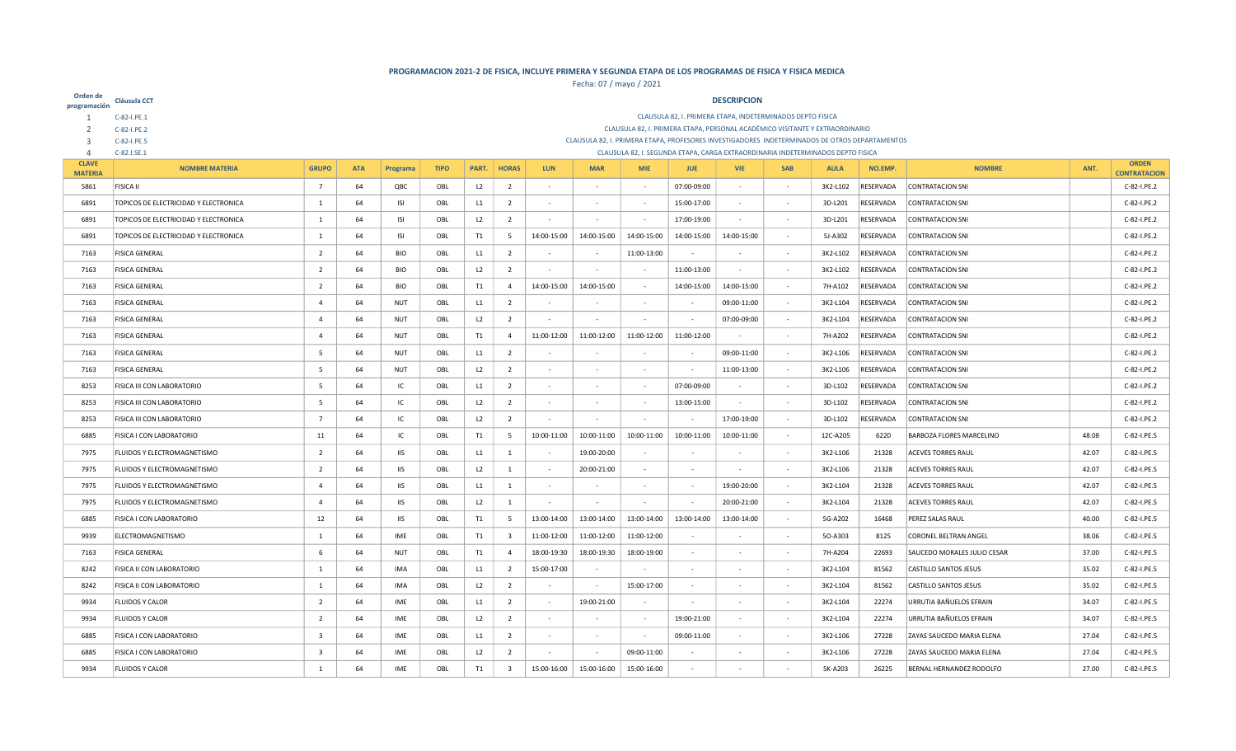| Orden de<br>programación         | Cláusula CCT                                                                   |                         |            |                   |             |                |                         |             |             |                          |                                                                                 | <b>DESCRIPCION</b> |                          |                     |                                                                                                |                                             |       |                            |
|----------------------------------|--------------------------------------------------------------------------------|-------------------------|------------|-------------------|-------------|----------------|-------------------------|-------------|-------------|--------------------------|---------------------------------------------------------------------------------|--------------------|--------------------------|---------------------|------------------------------------------------------------------------------------------------|---------------------------------------------|-------|----------------------------|
|                                  | C-82-I.PE.1                                                                    |                         |            |                   |             |                |                         |             |             |                          | CLAUSULA 82, I. PRIMERA ETAPA, INDETERMINADOS DEPTO FISICA                      |                    |                          |                     |                                                                                                |                                             |       |                            |
|                                  | C-82-I.PE.2                                                                    |                         |            |                   |             |                |                         |             |             |                          | CLAUSULA 82, I. PRIMERA ETAPA, PERSONAL ACADÉMICO VISITANTE Y EXTRAORDINARIO    |                    |                          |                     |                                                                                                |                                             |       |                            |
| $\overline{3}$<br>$\overline{4}$ | C-82-I.PE.5<br>C-82.I.SE.1                                                     |                         |            |                   |             |                |                         |             |             |                          | CLAUSULA 82, I. SEGUNDA ETAPA, CARGA EXTRAORDINARIA INDETERMINADOS DEPTO FISICA |                    |                          |                     | CLAUSULA 82, I. PRIMERA ETAPA, PROFESORES INVESTIGADORES INDETERMINADOS DE OTROS DEPARTAMENTOS |                                             |       |                            |
| <b>CLAVE</b>                     | <b>NOMBRE MATERIA</b>                                                          | <b>GRUPO</b>            | <b>ATA</b> | Programa          | <b>TIPO</b> | PART.          | <b>HORAS</b>            | <b>LUN</b>  | <b>MAR</b>  | <b>MIE</b>               | <b>JUE</b>                                                                      | <b>VIE</b>         | <b>SAB</b>               | <b>AULA</b>         | NO.EMP.                                                                                        | <b>NOMBRE</b>                               | ANT.  | <b>ORDEN</b>               |
| <b>MATERIA</b><br>5861           | <b>FISICA II</b>                                                               |                         | 64         |                   |             |                |                         |             | <b>A</b>    | $\overline{\phantom{a}}$ |                                                                                 |                    | $\sim$                   |                     | RESERVADA                                                                                      |                                             |       | <b>CONTRATACION</b>        |
| 6891                             | TOPICOS DE ELECTRICIDAD Y ELECTRONICA                                          | $\overline{7}$<br>1     | 64         | QBC               | OBL<br>OBL  | L <sub>2</sub> | $\overline{2}$          |             |             | $\overline{\phantom{a}}$ | 07:00-09:00<br>15:00-17:00                                                      |                    |                          | 3K2-L102<br>3D-L201 | RESERVADA                                                                                      | <b>CONTRATACION SNI</b><br>CONTRATACION SNI |       | C-82-I.PE.2<br>C-82-I.PE.2 |
| 6891                             |                                                                                |                         |            | ISI<br><b>ISI</b> |             | L1<br>L2       | $\overline{2}$          | $\sim$      |             |                          |                                                                                 | $\sim$             |                          |                     | RESERVADA                                                                                      |                                             |       |                            |
| 6891                             | TOPICOS DE ELECTRICIDAD Y ELECTRONICA<br>TOPICOS DE ELECTRICIDAD Y ELECTRONICA | 1                       | 64<br>64   |                   | OBL         |                | $\overline{2}$          |             | 14:00-15:00 | $\sim$<br>14:00-15:00    | 17:00-19:00<br>14:00-15:00                                                      | 14:00-15:00        | $\sim$                   | 3D-L201             |                                                                                                | CONTRATACION SNI                            |       | C-82-I.PE.2                |
|                                  |                                                                                | 1                       |            | <b>ISI</b>        | OBL         | T1             | - 5                     | 14:00-15:00 |             |                          |                                                                                 |                    | $\sim$                   | 5J-A302             | RESERVADA                                                                                      | CONTRATACION SNI                            |       | C-82-I.PE.2                |
| 7163                             | <b>FISICA GENERAL</b>                                                          | $\overline{2}$          | 64         | BIO               | OBL         | L1             | $\overline{2}$          |             | $\sim$      | 11:00-13:00              |                                                                                 |                    | $\sim$                   | 3K2-L102            | RESERVADA                                                                                      | CONTRATACION SNI                            |       | C-82-I.PE.2                |
| 7163                             | <b>FISICA GENERAL</b>                                                          | $\overline{2}$          | 64         | <b>BIO</b>        | OBL         | L2             | $\overline{2}$          | $\sim$      | $\sim$      | $\overline{\phantom{a}}$ | 11:00-13:00                                                                     | $\sim$             | $\sim$                   | 3K2-L102            | RESERVADA                                                                                      | CONTRATACION SNI                            |       | C-82-I.PE.2                |
| 7163                             | FISICA GENERAL                                                                 | $\overline{2}$          | 64         | <b>BIO</b>        | OBL         | T1             | $\overline{4}$          | 14:00-15:00 | 14:00-15:00 |                          | 14:00-15:00                                                                     | 14:00-15:00        |                          | 7H-A102             | RESERVADA                                                                                      | CONTRATACION SNI                            |       | C-82-I.PE.2                |
| 7163                             | <b>FISICA GENERAL</b>                                                          | $\overline{a}$          | 64         | <b>NUT</b>        | OBL         | L1             | $\overline{2}$          |             | $\sim$      | $\sim$                   |                                                                                 | 09:00-11:00        | $\sim$                   | 3K2-L104            | RESERVADA                                                                                      | CONTRATACION SNI                            |       | C-82-I.PE.2                |
| 7163                             | <b>FISICA GENERAL</b>                                                          | $\overline{4}$          | 64         | NUT               | OBL         | L <sub>2</sub> | $\overline{2}$          |             |             |                          |                                                                                 | 07:00-09:00        | $\sim$                   | 3K2-L104            | RESERVADA                                                                                      | CONTRATACION SNI                            |       | C-82-I.PE.2                |
| 7163                             | <b>FISICA GENERAL</b>                                                          | $\overline{4}$          | 64         | <b>NUT</b>        | OBL         | T1             | $\overline{4}$          | 11:00-12:00 | 11:00-12:00 | 11:00-12:00              | 11:00-12:00                                                                     |                    | $\sim$                   | 7H-A202             | RESERVADA                                                                                      | CONTRATACION SNI                            |       | C-82-I.PE.2                |
| 7163                             | <b>FISICA GENERAL</b>                                                          | .5                      | 64         | NUT               | OBL         | L1             | $\overline{2}$          |             |             |                          |                                                                                 | 09:00-11:00        | $\sim$                   | 3K2-L106            | RESERVADA                                                                                      | CONTRATACION SNI                            |       | C-82-I.PE.2                |
| 7163                             | <b>FISICA GENERAL</b>                                                          | -5                      | 64         | NUT               | OBL         | L2             | $\overline{2}$          | $\sim$      | $\sim$      |                          |                                                                                 | 11:00-13:00        | $\sim$                   | 3K2-L106            | RESERVADA                                                                                      | CONTRATACION SNI                            |       | C-82-I.PE.2                |
| 8253                             | FISICA III CON LABORATORIO                                                     | 5                       | 64         | IC                | OBL         | L1             | $\overline{2}$          |             |             |                          | 07:00-09:00                                                                     |                    | $\sim$                   | 3D-L102             | RESERVADA                                                                                      | CONTRATACION SNI                            |       | C-82-I.PE.2                |
| 8253                             | FISICA III CON LABORATORIO                                                     | 5                       | 64         | IC                | OBL         | L2             | $\overline{2}$          |             |             | $\sim$                   | 13:00-15:00                                                                     |                    | $\sim$                   | 3D-L102             | RESERVADA                                                                                      | CONTRATACION SNI                            |       | C-82-I.PE.2                |
| 8253                             | FISICA III CON LABORATORIO                                                     | $\overline{7}$          | 64         | IC                | OBL         | L2             | $\overline{2}$          |             |             |                          |                                                                                 | 17:00-19:00        | $\sim$                   | 3D-L102             | RESERVADA                                                                                      | CONTRATACION SNI                            |       | C-82-I.PE.2                |
| 6885                             | FISICA I CON LABORATORIO                                                       | 11                      | 64         | IC                | OBL         | T1             | $5\overline{5}$         | 10:00-11:00 | 10:00-11:00 | 10:00-11:00              | 10:00-11:00                                                                     | 10:00-11:00        | $\sim$                   | 12C-A205            | 6220                                                                                           | <b>BARBOZA FLORES MARCELINO</b>             | 48.08 | C-82-I.PE.5                |
| 7975                             | FLUIDOS Y ELECTROMAGNETISMO                                                    | $\overline{2}$          | 64         | <b>IIS</b>        | OBL         | L1             | $\mathbf{1}$            |             | 19:00-20:00 |                          |                                                                                 |                    | $\sim$                   | 3K2-L106            | 21328                                                                                          | <b>ACEVES TORRES RAUL</b>                   | 42.07 | C-82-I.PE.5                |
| 7975                             | FLUIDOS Y ELECTROMAGNETISMO                                                    | $\overline{2}$          | 64         | <b>IIS</b>        | OBL         | L2             | -1                      | $\sim$      | 20:00-21:00 | $\overline{\phantom{a}}$ |                                                                                 |                    | $\sim$                   | 3K2-L106            | 21328                                                                                          | <b>ACEVES TORRES RAUL</b>                   | 42.07 | C-82-I.PE.5                |
| 7975                             | FLUIDOS Y ELECTROMAGNETISMO                                                    | $\overline{a}$          | 64         | <b>IIS</b>        | OBL         | L1             | 1                       | $\sim$      | $\sim$      | ٠                        |                                                                                 | 19:00-20:00        | $\sim$                   | 3K2-L104            | 21328                                                                                          | <b>ACEVES TORRES RAUL</b>                   | 42.07 | C-82-I.PE.5                |
| 7975                             | FLUIDOS Y ELECTROMAGNETISMO                                                    | $\overline{4}$          | 64         | <b>IIS</b>        | OBL         | L2             | $\mathbf{1}$            |             | - 1         |                          |                                                                                 | 20:00-21:00        | $\sim$                   | 3K2-L104            | 21328                                                                                          | <b>ACEVES TORRES RAUL</b>                   | 42.07 | C-82-I.PE.5                |
| 6885                             | FISICA I CON LABORATORIO                                                       | 12                      | 64         | <b>IIS</b>        | OBL         | T <sub>1</sub> | $5\overline{5}$         | 13:00-14:00 | 13:00-14:00 | 13:00-14:00              | 13:00-14:00                                                                     | 13:00-14:00        | $\sim$                   | 5G-A202             | 16468                                                                                          | PEREZ SALAS RAUL                            | 40.00 | C-82-I.PE.5                |
| 9939                             | ELECTROMAGNETISMO                                                              | 1                       | 64         | IME               | OBL         | T1             | $\overline{\mathbf{3}}$ | 11:00-12:00 | 11:00-12:00 | 11:00-12:00              |                                                                                 |                    | $\overline{\phantom{a}}$ | 50-A303             | 8125                                                                                           | CORONEL BELTRAN ANGEL                       | 38.06 | C-82-I.PE.5                |
| 7163                             | <b>FISICA GENERAL</b>                                                          | 6                       | 64         | <b>NUT</b>        | OBL         | T <sub>1</sub> | $\overline{4}$          | 18:00-19:30 | 18:00-19:30 | 18:00-19:00              | $\sim$                                                                          |                    | $\sim$                   | 7H-A204             | 22693                                                                                          | SAUCEDO MORALES JULIO CESAR                 | 37.00 | C-82-I.PE.5                |
| 8242                             | FISICA II CON LABORATORIO                                                      | 1                       | 64         | IMA               | OBL         | L1             | $\overline{2}$          | 15:00-17:00 | $\sim$      |                          |                                                                                 |                    | $\sim$                   | 3K2-L104            | 81562                                                                                          | <b>CASTILLO SANTOS JESUS</b>                | 35.02 | C-82-I.PE.5                |
| 8242                             | FISICA II CON LABORATORIO                                                      | 1                       | 64         | IMA               | OBL         | L2             | $\overline{2}$          | $\sim$      | $\sim$      | 15:00-17:00              |                                                                                 |                    | $\sim$                   | 3K2-L104            | 81562                                                                                          | CASTILLO SANTOS JESUS                       | 35.02 | C-82-I.PE.5                |
| 9934                             | <b>FLUIDOS Y CALOR</b>                                                         | $\overline{2}$          | 64         | IME               | OBL         | L1             | $\overline{2}$          | $\sim$      | 19:00-21:00 | $\sim$                   |                                                                                 |                    | $\sim$                   | 3K2-L104            | 22274                                                                                          | URRUTIA BAÑUELOS EFRAIN                     | 34.07 | C-82-I.PE.5                |
| 9934                             | <b>FLUIDOS Y CALOR</b>                                                         | $\overline{2}$          | 64         | IME               | OBL         | L2             | $\overline{2}$          | $\sim$      | $\sim$      | $\overline{\phantom{a}}$ | 19:00-21:00                                                                     |                    | $\sim$                   | 3K2-L104            | 22274                                                                                          | URRUTIA BAÑUELOS EFRAIN                     | 34.07 | C-82-I.PE.5                |
| 6885                             | FISICA I CON LABORATORIO                                                       | $\overline{\mathbf{3}}$ | 64         | IME               | OBL         | L1             | $\overline{2}$          |             |             |                          | 09:00-11:00                                                                     |                    |                          | 3K2-L106            | 27228                                                                                          | ZAYAS SAUCEDO MARIA ELENA                   | 27.04 | C-82-I.PE.5                |
| 6885                             | FISICA I CON LABORATORIO                                                       | $\overline{\mathbf{3}}$ | 64         | IME               | OBL         | L2             | $\overline{2}$          |             |             | 09:00-11:00              |                                                                                 |                    |                          | 3K2-L106            | 27228                                                                                          | ZAYAS SAUCEDO MARIA ELENA                   | 27.04 | C-82-I.PE.5                |
| 9934                             | <b>FLUIDOS Y CALOR</b>                                                         | 1                       | 64         | <b>IME</b>        | OBL         | T1             | $\overline{\mathbf{3}}$ | 15:00-16:00 | 15:00-16:00 | 15:00-16:00              |                                                                                 |                    |                          | 5K-A203             | 26225                                                                                          | BERNAL HERNANDEZ RODOLFO                    | 27.00 | C-82-I.PE.5                |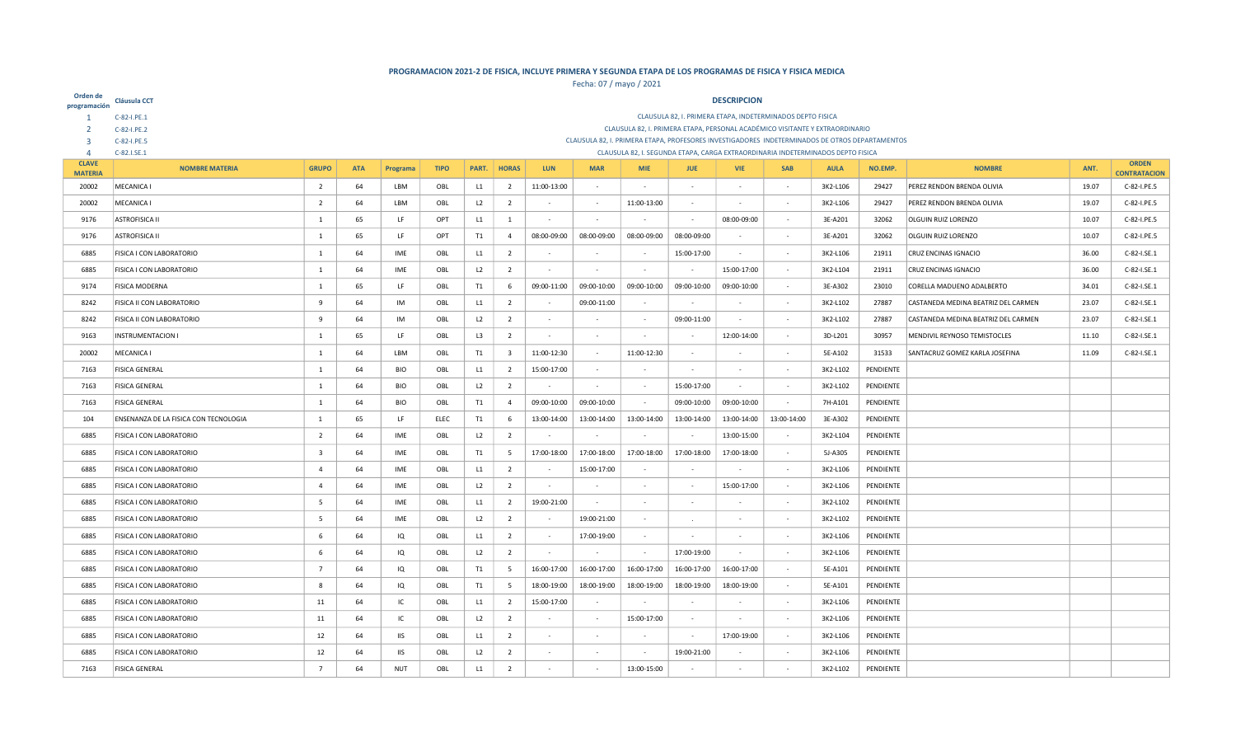| Orden de<br>programación | Cláusula CCT                          |                                                                                                                                                                                              |            |            |             |       |                |             |             |             |                          | <b>DESCRIPCION</b>       |                                                                                                |             |           |                                     |             |                     |
|--------------------------|---------------------------------------|----------------------------------------------------------------------------------------------------------------------------------------------------------------------------------------------|------------|------------|-------------|-------|----------------|-------------|-------------|-------------|--------------------------|--------------------------|------------------------------------------------------------------------------------------------|-------------|-----------|-------------------------------------|-------------|---------------------|
|                          | C-82-I.PE.1                           |                                                                                                                                                                                              |            |            |             |       |                |             |             |             |                          |                          | CLAUSULA 82, I. PRIMERA ETAPA, INDETERMINADOS DEPTO FISICA                                     |             |           |                                     |             |                     |
|                          | C-82-I.PE.2                           |                                                                                                                                                                                              |            |            |             |       |                |             |             |             |                          |                          | CLAUSULA 82, I. PRIMERA ETAPA, PERSONAL ACADÉMICO VISITANTE Y EXTRAORDINARIO                   |             |           |                                     |             |                     |
| $\overline{3}$           | C-82-I.PE.5                           |                                                                                                                                                                                              |            |            |             |       |                |             |             |             |                          |                          | CLAUSULA 82, I. PRIMERA ETAPA, PROFESORES INVESTIGADORES INDETERMINADOS DE OTROS DEPARTAMENTOS |             |           |                                     |             |                     |
| $\Delta$<br><b>CLAVE</b> | C-82.I.SE.1                           |                                                                                                                                                                                              |            |            |             |       |                |             |             |             |                          |                          | CLAUSULA 82, I. SEGUNDA ETAPA, CARGA EXTRAORDINARIA INDETERMINADOS DEPTO FISICA                |             |           |                                     |             | <b>ORDEN</b>        |
| <b>MATERIA</b>           | <b>NOMBRE MATERIA</b>                 | <b>GRUPO</b>                                                                                                                                                                                 | <b>ATA</b> | Programa   | <b>TIPO</b> | PART. | <b>HORAS</b>   | <b>LUN</b>  | <b>MAR</b>  | <b>MIE</b>  | <b>JUE</b>               | <b>VIE</b>               | <b>SAB</b>                                                                                     | <b>AULA</b> | NO.EMP.   | <b>NOMBRE</b>                       | ANT.        | <b>CONTRATACION</b> |
| 20002                    | MECANICA I                            | $\overline{2}$                                                                                                                                                                               | 64         | LBM        | OBL         | L1    | $\overline{2}$ | 11:00-13:00 | $\sim$      | $\sim$      | $\sim$                   | i.                       |                                                                                                | 3K2-L106    | 29427     | PEREZ RENDON BRENDA OLIVIA          | 19.07       | C-82-I.PE.5         |
| 20002                    | MECANICA I                            | $\overline{2}$                                                                                                                                                                               | 64         | LBM        | OBL         | L2    | $\overline{2}$ |             | $\sim$      | 11:00-13:00 | $\overline{\phantom{a}}$ |                          |                                                                                                | 3K2-L106    | 29427     | PEREZ RENDON BRENDA OLIVIA          | 19.07       | C-82-I.PE.5         |
| 9176                     | <b>ASTROFISICA II</b>                 | 1                                                                                                                                                                                            | 65         | LF         | OPT         | L1    | $\mathbf{1}$   | $\sim$      | $\sim$      |             | $\sim$                   | 08:00-09:00              | $\sim$                                                                                         | 3E-A201     | 32062     | <b>OLGUIN RUIZ LORENZO</b>          | 10.07       | C-82-I.PE.5         |
| 9176                     | <b>ASTROFISICA II</b>                 | 1                                                                                                                                                                                            | 65         | LF         | OPT         | T1    | $\overline{4}$ | 08:00-09:00 | 08:00-09:00 | 08:00-09:00 | 08:00-09:00              |                          | $\sim$                                                                                         | 3E-A201     | 32062     | <b>OLGUIN RUIZ LORENZO</b>          | 10.07       | C-82-I.PE.5         |
| 6885                     | <b>FISICA I CON LABORATORIO</b>       | 1                                                                                                                                                                                            | 64         | IME        | OBL         | L1    | $\overline{2}$ |             | $\sim$      |             | 15:00-17:00              | $\sim$                   |                                                                                                | 3K2-L106    | 21911     | CRUZ ENCINAS IGNACIO                | 36.00       | C-82-I.SE.1         |
| 6885                     | <b>FISICA I CON LABORATORIO</b>       | 1                                                                                                                                                                                            | 64         | IME        | OBL         | L2    | $\overline{2}$ | $\sim$      |             |             |                          | 15:00-17:00              |                                                                                                | 3K2-L104    | 21911     | CRUZ ENCINAS IGNACIO                | 36.00       | C-82-I.SE.1         |
| 9174                     | <b>FISICA MODERNA</b>                 | 1                                                                                                                                                                                            | 65         | LF         | OBL         | T1    | 6              | 09:00-11:00 | 09:00-10:00 | 09:00-10:00 | 09:00-10:00              | 09:00-10:00              |                                                                                                | 3E-A302     | 23010     | CORELLA MADUENO ADALBERTO           | 34.01       | C-82-I.SE.1         |
| 8242                     | <b>FISICA II CON LABORATORIO</b>      | -9                                                                                                                                                                                           | 64         | IM         | OBL         | L1    | $\overline{2}$ |             | 09:00-11:00 | $\sim$      | $\sim$                   |                          | $\sim$                                                                                         | 3K2-L102    | 27887     | CASTANEDA MEDINA BEATRIZ DEL CARMEN | 23.07       | C-82-I.SE.1         |
| 8242                     | <b>FISICA II CON LABORATORIO</b>      | 9<br>64<br>IM<br>L <sub>2</sub><br>$\overline{2}$<br>09:00-11:00<br>3K2-L102<br>27887<br>CASTANEDA MEDINA BEATRIZ DEL CARMEN<br>23.07<br>OBL<br>$\sim$                                       |            |            |             |       |                |             |             |             |                          |                          |                                                                                                |             |           |                                     | C-82-I.SE.1 |                     |
| 9163                     | <b>INSTRUMENTACION I</b>              | $\overline{2}$<br>1<br>65<br>LF<br>OBL<br>L <sub>3</sub><br>12:00-14:00<br>3D-L201<br>30957<br>MENDIVIL REYNOSO TEMISTOCLES<br>11.10<br>$\sim$                                               |            |            |             |       |                |             |             |             |                          |                          |                                                                                                |             |           |                                     | C-82-I.SE.1 |                     |
| 20002                    | MECANICA I                            | 64<br>$\overline{\mathbf{3}}$<br>11:00-12:30<br>11:00-12:30<br>31533<br>LBM<br>OBL<br>T1<br>5E-A102<br>SANTACRUZ GOMEZ KARLA JOSEFINA<br>11.09<br>$\mathbf{1}$<br>$\sim$<br>$\sim$<br>$\sim$ |            |            |             |       |                |             |             |             |                          |                          |                                                                                                |             |           |                                     | C-82-I.SE.1 |                     |
| 7163                     | <b>FISICA GENERAL</b>                 | $\overline{1}$                                                                                                                                                                               | 64         | BIO        | OBL         | L1    | $\overline{2}$ | 15:00-17:00 | $\sim$      | $\sim$      | $\sim$                   | $\sim$                   |                                                                                                | 3K2-L102    | PENDIENTE |                                     |             |                     |
| 7163                     | <b>FISICA GENERAL</b>                 | 1                                                                                                                                                                                            | 64         | BIO        | OBL         | L2    | $\overline{2}$ |             | a.          | $\sim$      | 15:00-17:00              | $\sim$                   |                                                                                                | 3K2-L102    | PENDIENTE |                                     |             |                     |
| 7163                     | <b>FISICA GENERAL</b>                 | 1                                                                                                                                                                                            | 64         | <b>BIO</b> | OBL         | T1    | $\overline{4}$ | 09:00-10:00 | 09:00-10:00 |             | 09:00-10:00              | 09:00-10:00              |                                                                                                | 7H-A101     | PENDIENTE |                                     |             |                     |
| 104                      | ENSENANZA DE LA FISICA CON TECNOLOGIA | 1                                                                                                                                                                                            | 65         | LF         | ELEC        | T1    | 6              | 13:00-14:00 | 13:00-14:00 | 13:00-14:00 | 13:00-14:00              | 13:00-14:00              | 13:00-14:00                                                                                    | 3E-A302     | PENDIENTE |                                     |             |                     |
| 6885                     | <b>FISICA I CON LABORATORIO</b>       | $\overline{2}$                                                                                                                                                                               | 64         | IME        | OBL         | L2    | $\overline{2}$ |             | $\sim$      |             | $\sim$                   | 13:00-15:00              |                                                                                                | 3K2-L104    | PENDIENTE |                                     |             |                     |
| 6885                     | <b>FISICA I CON LABORATORIO</b>       | $\overline{\mathbf{3}}$                                                                                                                                                                      | 64         | IME        | OBL         | T1    | 5              | 17:00-18:00 | 17:00-18:00 | 17:00-18:00 | 17:00-18:00              | 17:00-18:00              |                                                                                                | 5J-A305     | PENDIENTE |                                     |             |                     |
| 6885                     | <b>FISICA I CON LABORATORIO</b>       | $\overline{4}$                                                                                                                                                                               | 64         | IME        | OBL         | L1    | $\overline{2}$ |             | 15:00-17:00 |             | $\sim$                   | $\overline{\phantom{a}}$ | $\sim$                                                                                         | 3K2-L106    | PENDIENTE |                                     |             |                     |
| 6885                     | FISICA I CON LABORATORIO              | $\overline{a}$                                                                                                                                                                               | 64         | IME        | OBL         | L2    | $\overline{2}$ | $\sim$      |             |             | $\overline{\phantom{a}}$ | 15:00-17:00              |                                                                                                | 3K2-L106    | PENDIENTE |                                     |             |                     |
| 6885                     | <b>FISICA I CON LABORATORIO</b>       | -5                                                                                                                                                                                           | 64         | IME        | OBL         | L1    | $\overline{2}$ | 19:00-21:00 | $\sim$      | $\sim$      | $\sim$                   |                          | $\sim$                                                                                         | 3K2-L102    | PENDIENTE |                                     |             |                     |
| 6885                     | <b>FISICA I CON LABORATORIO</b>       | -5                                                                                                                                                                                           | 64         | IME        | OBL         | L2    | $\overline{2}$ |             | 19:00-21:00 |             | $\sim$                   |                          |                                                                                                | 3K2-L102    | PENDIENTE |                                     |             |                     |
| 6885                     | <b>FISICA I CON LABORATORIO</b>       | 6                                                                                                                                                                                            | 64         | IQ         | OBL         | L1    | $\overline{2}$ | $\sim$      | 17:00-19:00 |             | $\sim$                   |                          |                                                                                                | 3K2-L106    | PENDIENTE |                                     |             |                     |
| 6885                     | <b>FISICA I CON LABORATORIO</b>       | -6                                                                                                                                                                                           | 64         | IQ         | OBL         | L2    | $\overline{2}$ |             |             |             | 17:00-19:00              |                          |                                                                                                | 3K2-L106    | PENDIENTE |                                     |             |                     |
| 6885                     | <b>FISICA I CON LABORATORIO</b>       | $\overline{7}$                                                                                                                                                                               | 64         | IQ         | OBL         | T1    | 5              | 16:00-17:00 | 16:00-17:00 | 16:00-17:00 | 16:00-17:00              | 16:00-17:00              |                                                                                                | 5E-A101     | PENDIENTE |                                     |             |                     |
| 6885                     | <b>FISICA I CON LABORATORIO</b>       | -8                                                                                                                                                                                           | 64         | IQ         | OBL         | T1    | 5              | 18:00-19:00 | 18:00-19:00 | 18:00-19:00 | 18:00-19:00              | 18:00-19:00              |                                                                                                | 5E-A101     | PENDIENTE |                                     |             |                     |
| 6885                     | <b>FISICA I CON LABORATORIO</b>       | 11                                                                                                                                                                                           | 64         | IC         | OBL         | L1    | $\overline{2}$ | 15:00-17:00 | $\sim$      |             | $\sim$                   |                          | $\sim$                                                                                         | 3K2-L106    | PENDIENTE |                                     |             |                     |
| 6885                     | <b>FISICA I CON LABORATORIO</b>       | 11                                                                                                                                                                                           | 64         | IC         | OBL         | L2    | $\overline{2}$ | $\sim$      | $\sim$      | 15:00-17:00 | $\sim$                   |                          |                                                                                                | 3K2-L106    | PENDIENTE |                                     |             |                     |
| 6885                     | <b>FISICA I CON LABORATORIO</b>       | 12                                                                                                                                                                                           | 64         | <b>IIS</b> | OBL         | L1    | $\overline{2}$ | $\sim$      | $\sim$      |             |                          | 17:00-19:00              |                                                                                                | 3K2-L106    | PENDIENTE |                                     |             |                     |
| 6885                     | FISICA I CON LABORATORIO              | 12                                                                                                                                                                                           | 64         | <b>IIS</b> | OBL         | L2    | $\overline{2}$ |             |             |             | 19:00-21:00              |                          |                                                                                                | 3K2-L106    | PENDIENTE |                                     |             |                     |
| 7163                     | <b>FISICA GENERAL</b>                 | $\overline{7}$                                                                                                                                                                               | 64         | <b>NUT</b> | OBL         | L1    | $\overline{2}$ |             |             | 13:00-15:00 |                          |                          |                                                                                                | 3K2-L102    | PENDIENTE |                                     |             |                     |